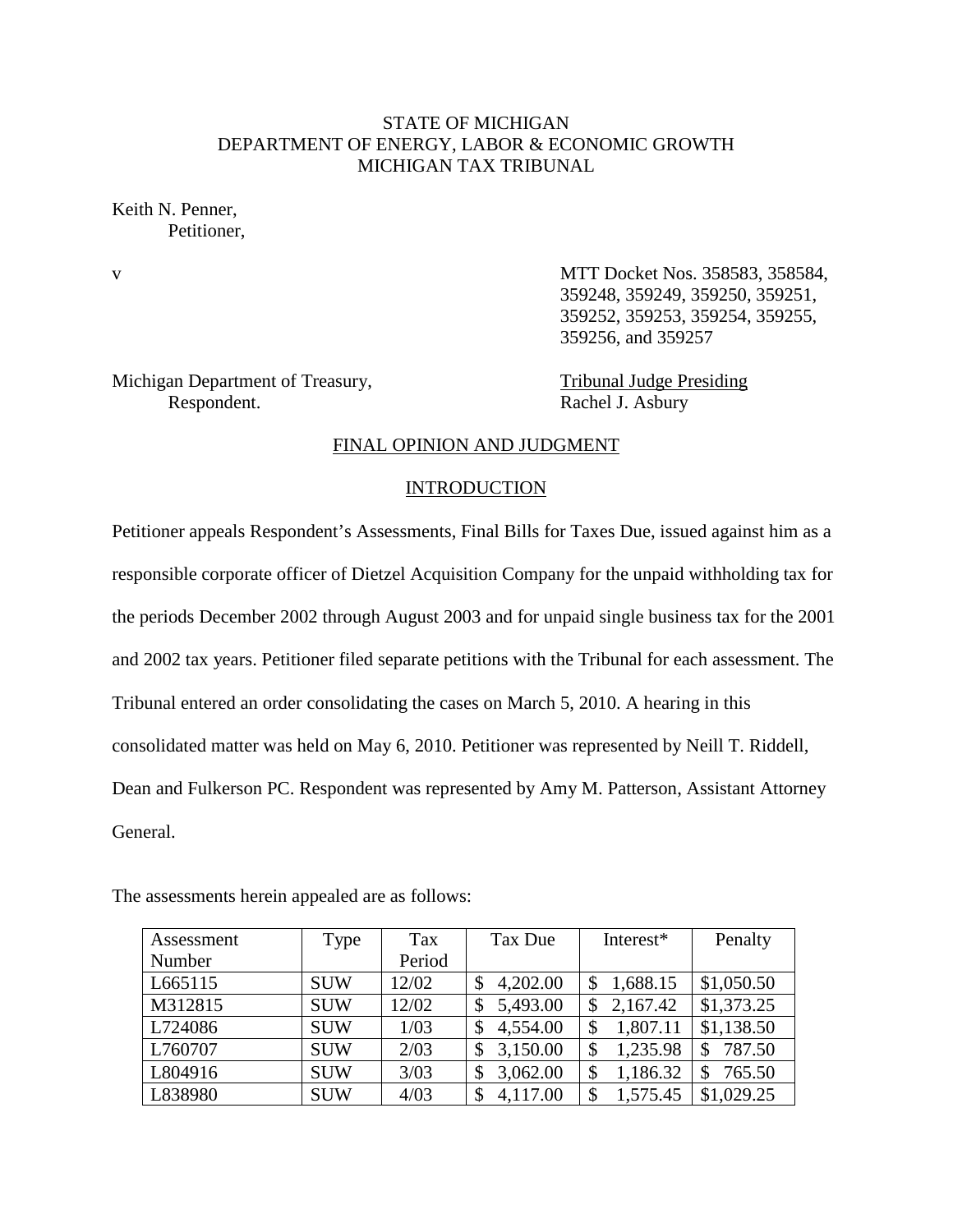# STATE OF MICHIGAN DEPARTMENT OF ENERGY, LABOR & ECONOMIC GROWTH MICHIGAN TAX TRIBUNAL

Keith N. Penner, Petitioner,

v MTT Docket Nos. 358583, 358584, 359248, 359249, 359250, 359251, 359252, 359253, 359254, 359255, 359256, and 359257

Michigan Department of Treasury, Tribunal Judge Presiding Respondent. Rachel J. Asbury

# FINAL OPINION AND JUDGMENT

#### INTRODUCTION

Petitioner appeals Respondent's Assessments, Final Bills for Taxes Due, issued against him as a responsible corporate officer of Dietzel Acquisition Company for the unpaid withholding tax for the periods December 2002 through August 2003 and for unpaid single business tax for the 2001 and 2002 tax years. Petitioner filed separate petitions with the Tribunal for each assessment. The Tribunal entered an order consolidating the cases on March 5, 2010. A hearing in this consolidated matter was held on May 6, 2010. Petitioner was represented by Neill T. Riddell, Dean and Fulkerson PC. Respondent was represented by Amy M. Patterson, Assistant Attorney General.

| Assessment | Type       | Tax    | Tax Due        | Interest*      | Penalty    |
|------------|------------|--------|----------------|----------------|------------|
| Number     |            | Period |                |                |            |
| L665115    | <b>SUW</b> | 12/02  | 4,202.00<br>\$ | 1,688.15<br>\$ | \$1,050.50 |
| M312815    | <b>SUW</b> | 12/02  | 5,493.00       | 2,167.42<br>\$ | \$1,373.25 |
| L724086    | <b>SUW</b> | 1/03   | 4,554.00<br>\$ | 1,807.11<br>\$ | \$1,138.50 |
| L760707    | <b>SUW</b> | 2/03   | 3,150.00       | 1,235.98<br>\$ | 787.50     |
| L804916    | <b>SUW</b> | 3/03   | 3,062.00       | 1,186.32<br>\$ | 765.50     |
| L838980    | <b>SUW</b> | 4/03   | 4,117.00<br>\$ | 1,575.45<br>\$ | \$1,029.25 |

The assessments herein appealed are as follows: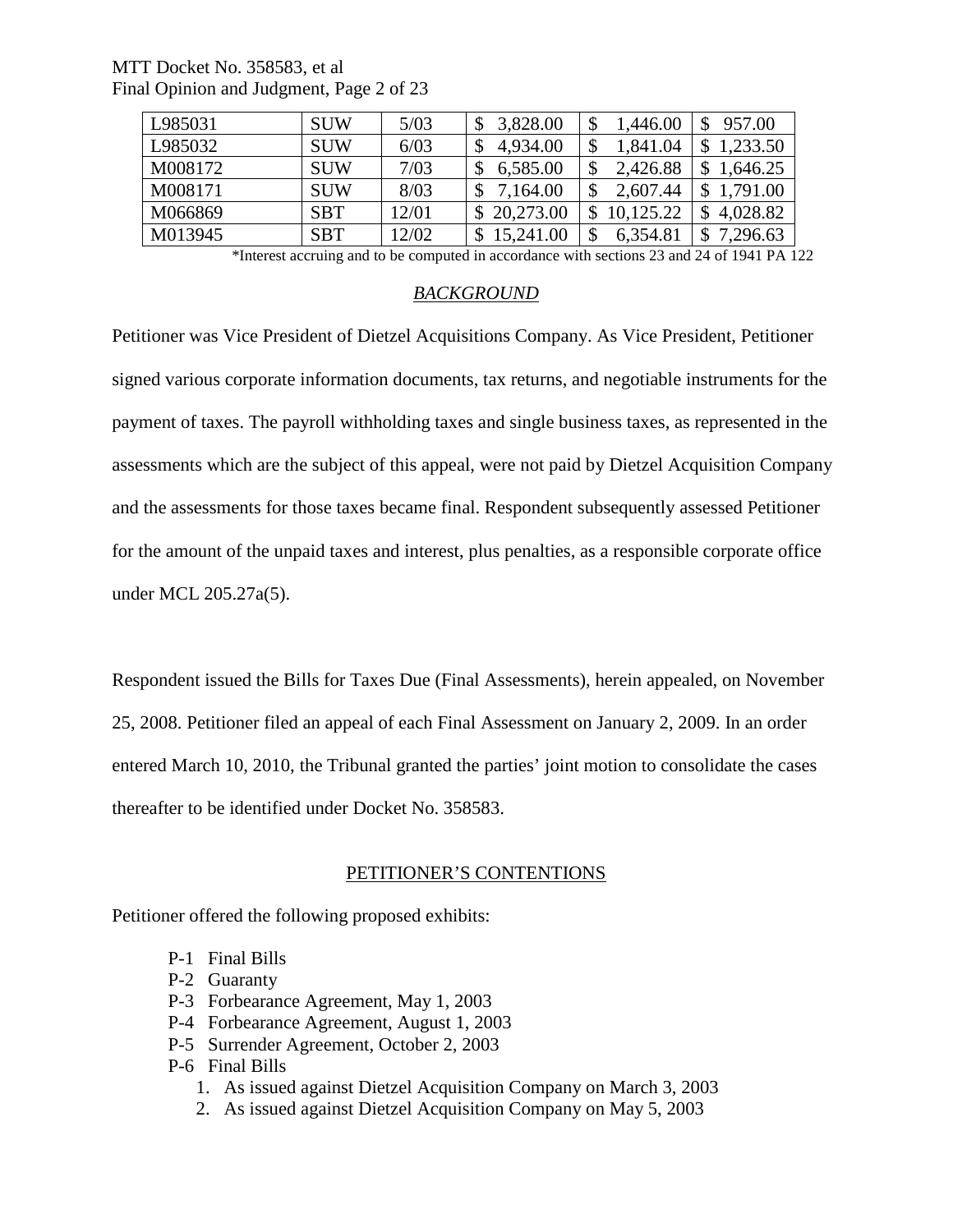| MTT Docket No. 358583, et al             |
|------------------------------------------|
| Final Opinion and Judgment, Page 2 of 23 |

| L985031 | <b>SUW</b> | 5/03  | 3,828.00    | 1,446.00    | 957.00   |
|---------|------------|-------|-------------|-------------|----------|
| L985032 | <b>SUW</b> | 6/03  | 4,934.00    | 1,841.04    | 1,233.50 |
| M008172 | <b>SUW</b> | 7/03  | 6,585.00    | 2,426.88    | 1,646.25 |
| M008171 | <b>SUW</b> | 8/03  | 7,164.00    | 2,607.44    | 1.791.00 |
| M066869 | <b>SBT</b> | 12/01 | \$20,273.00 | \$10,125.22 | 4,028.82 |
| M013945 | <b>SBT</b> | 12/02 | 15,241.00   | 6,354.81    | 7,296.63 |

\*Interest accruing and to be computed in accordance with sections 23 and 24 of 1941 PA 122

# *BACKGROUND*

Petitioner was Vice President of Dietzel Acquisitions Company. As Vice President, Petitioner signed various corporate information documents, tax returns, and negotiable instruments for the payment of taxes. The payroll withholding taxes and single business taxes, as represented in the assessments which are the subject of this appeal, were not paid by Dietzel Acquisition Company and the assessments for those taxes became final. Respondent subsequently assessed Petitioner for the amount of the unpaid taxes and interest, plus penalties, as a responsible corporate office under MCL 205.27a(5).

Respondent issued the Bills for Taxes Due (Final Assessments), herein appealed, on November 25, 2008. Petitioner filed an appeal of each Final Assessment on January 2, 2009. In an order entered March 10, 2010, the Tribunal granted the parties' joint motion to consolidate the cases thereafter to be identified under Docket No. 358583.

#### PETITIONER'S CONTENTIONS

Petitioner offered the following proposed exhibits:

- P-1 Final Bills
- P-2 Guaranty
- P-3 Forbearance Agreement, May 1, 2003
- P-4 Forbearance Agreement, August 1, 2003
- P-5 Surrender Agreement, October 2, 2003
- P-6 Final Bills
	- 1. As issued against Dietzel Acquisition Company on March 3, 2003
	- 2. As issued against Dietzel Acquisition Company on May 5, 2003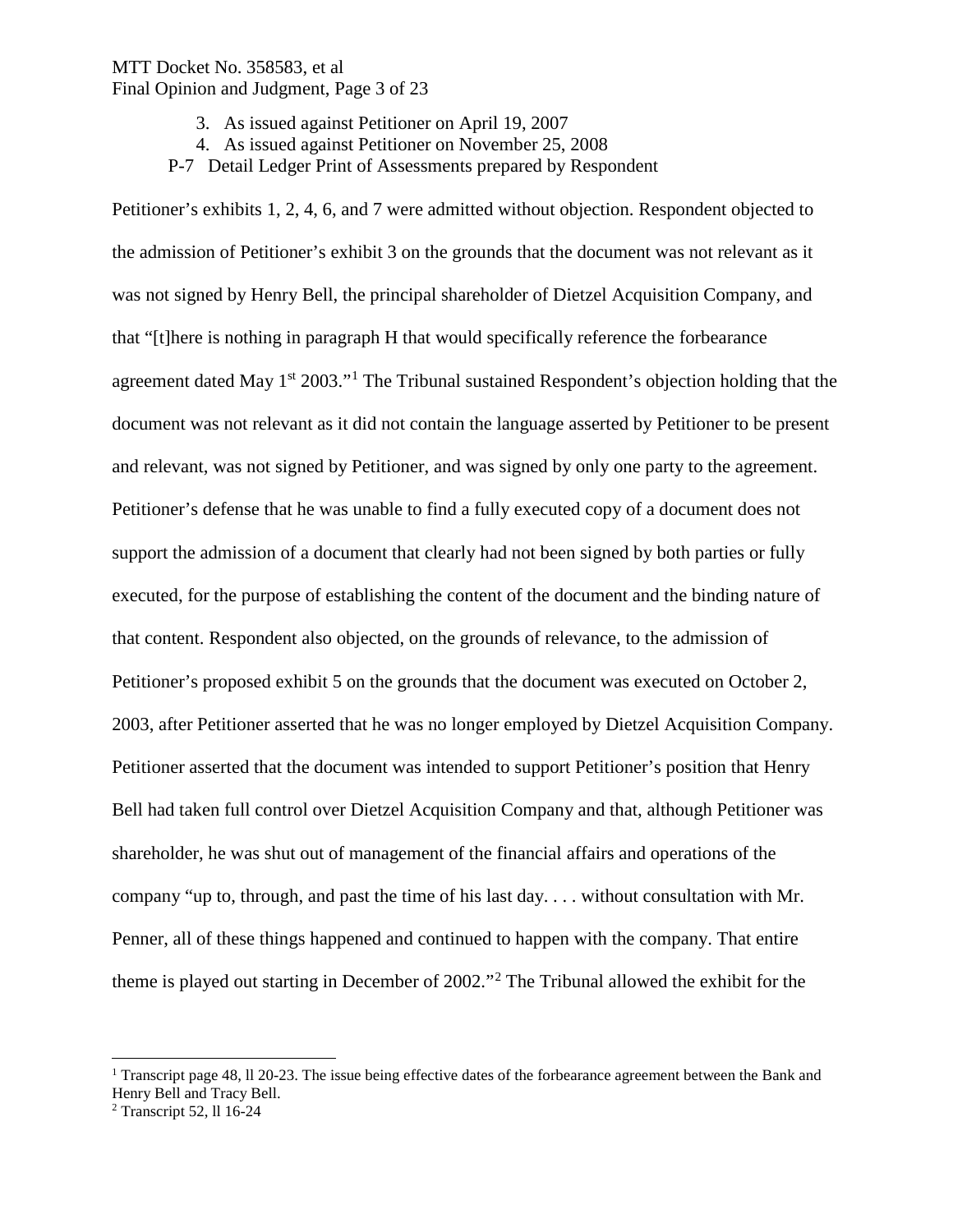### MTT Docket No. 358583, et al Final Opinion and Judgment, Page 3 of 23

- 3. As issued against Petitioner on April 19, 2007
- 4. As issued against Petitioner on November 25, 2008
- P-7 Detail Ledger Print of Assessments prepared by Respondent

Petitioner's exhibits 1, 2, 4, 6, and 7 were admitted without objection. Respondent objected to the admission of Petitioner's exhibit 3 on the grounds that the document was not relevant as it was not signed by Henry Bell, the principal shareholder of Dietzel Acquisition Company, and that "[t]here is nothing in paragraph H that would specifically reference the forbearance agreement dated May  $1<sup>st</sup> 2003."$  $1<sup>st</sup> 2003."$ <sup>1</sup> The Tribunal sustained Respondent's objection holding that the document was not relevant as it did not contain the language asserted by Petitioner to be present and relevant, was not signed by Petitioner, and was signed by only one party to the agreement. Petitioner's defense that he was unable to find a fully executed copy of a document does not support the admission of a document that clearly had not been signed by both parties or fully executed, for the purpose of establishing the content of the document and the binding nature of that content. Respondent also objected, on the grounds of relevance, to the admission of Petitioner's proposed exhibit 5 on the grounds that the document was executed on October 2, 2003, after Petitioner asserted that he was no longer employed by Dietzel Acquisition Company. Petitioner asserted that the document was intended to support Petitioner's position that Henry Bell had taken full control over Dietzel Acquisition Company and that, although Petitioner was shareholder, he was shut out of management of the financial affairs and operations of the company "up to, through, and past the time of his last day. . . . without consultation with Mr. Penner, all of these things happened and continued to happen with the company. That entire theme is played out starting in December of 2002."[2](#page-2-1) The Tribunal allowed the exhibit for the

<span id="page-2-0"></span><sup>&</sup>lt;sup>1</sup> Transcript page 48, ll 20-23. The issue being effective dates of the forbearance agreement between the Bank and Henry Bell and Tracy Bell.

<span id="page-2-1"></span><sup>2</sup> Transcript 52, ll 16-24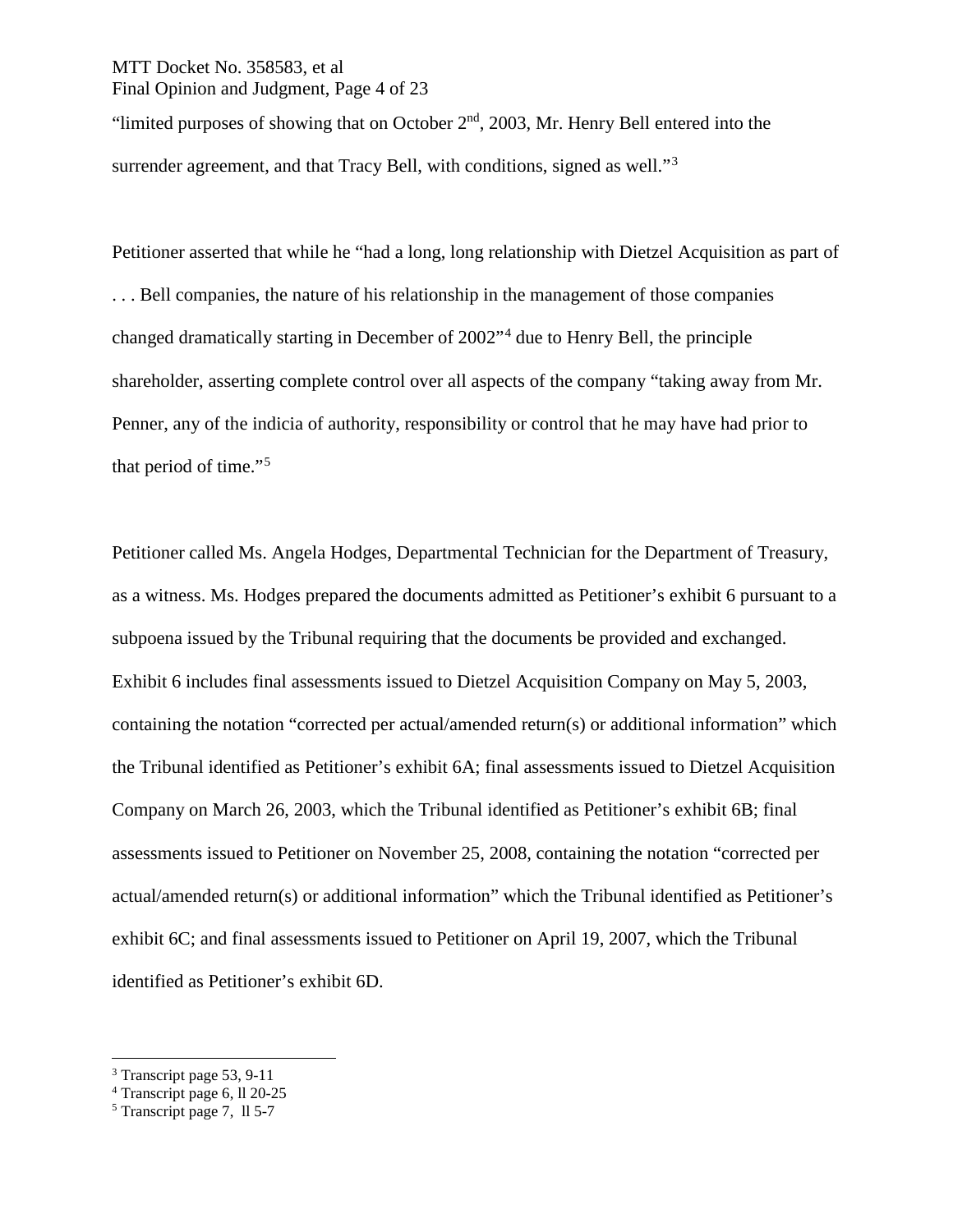# MTT Docket No. 358583, et al Final Opinion and Judgment, Page 4 of 23

"limited purposes of showing that on October  $2<sup>nd</sup>$ , 2003, Mr. Henry Bell entered into the surrender agreement, and that Tracy Bell, with conditions, signed as well."<sup>[3](#page-3-0)</sup>

Petitioner asserted that while he "had a long, long relationship with Dietzel Acquisition as part of . . . Bell companies, the nature of his relationship in the management of those companies changed dramatically starting in December of 2002"[4](#page-3-1) due to Henry Bell, the principle shareholder, asserting complete control over all aspects of the company "taking away from Mr. Penner, any of the indicia of authority, responsibility or control that he may have had prior to that period of time."[5](#page-3-2)

Petitioner called Ms. Angela Hodges, Departmental Technician for the Department of Treasury, as a witness. Ms. Hodges prepared the documents admitted as Petitioner's exhibit 6 pursuant to a subpoena issued by the Tribunal requiring that the documents be provided and exchanged. Exhibit 6 includes final assessments issued to Dietzel Acquisition Company on May 5, 2003, containing the notation "corrected per actual/amended return(s) or additional information" which the Tribunal identified as Petitioner's exhibit 6A; final assessments issued to Dietzel Acquisition Company on March 26, 2003, which the Tribunal identified as Petitioner's exhibit 6B; final assessments issued to Petitioner on November 25, 2008, containing the notation "corrected per actual/amended return(s) or additional information" which the Tribunal identified as Petitioner's exhibit 6C; and final assessments issued to Petitioner on April 19, 2007, which the Tribunal identified as Petitioner's exhibit 6D.

<span id="page-3-0"></span> <sup>3</sup> Transcript page 53, 9-11

<span id="page-3-1"></span><sup>4</sup> Transcript page 6, ll 20-25

<span id="page-3-2"></span><sup>5</sup> Transcript page 7, ll 5-7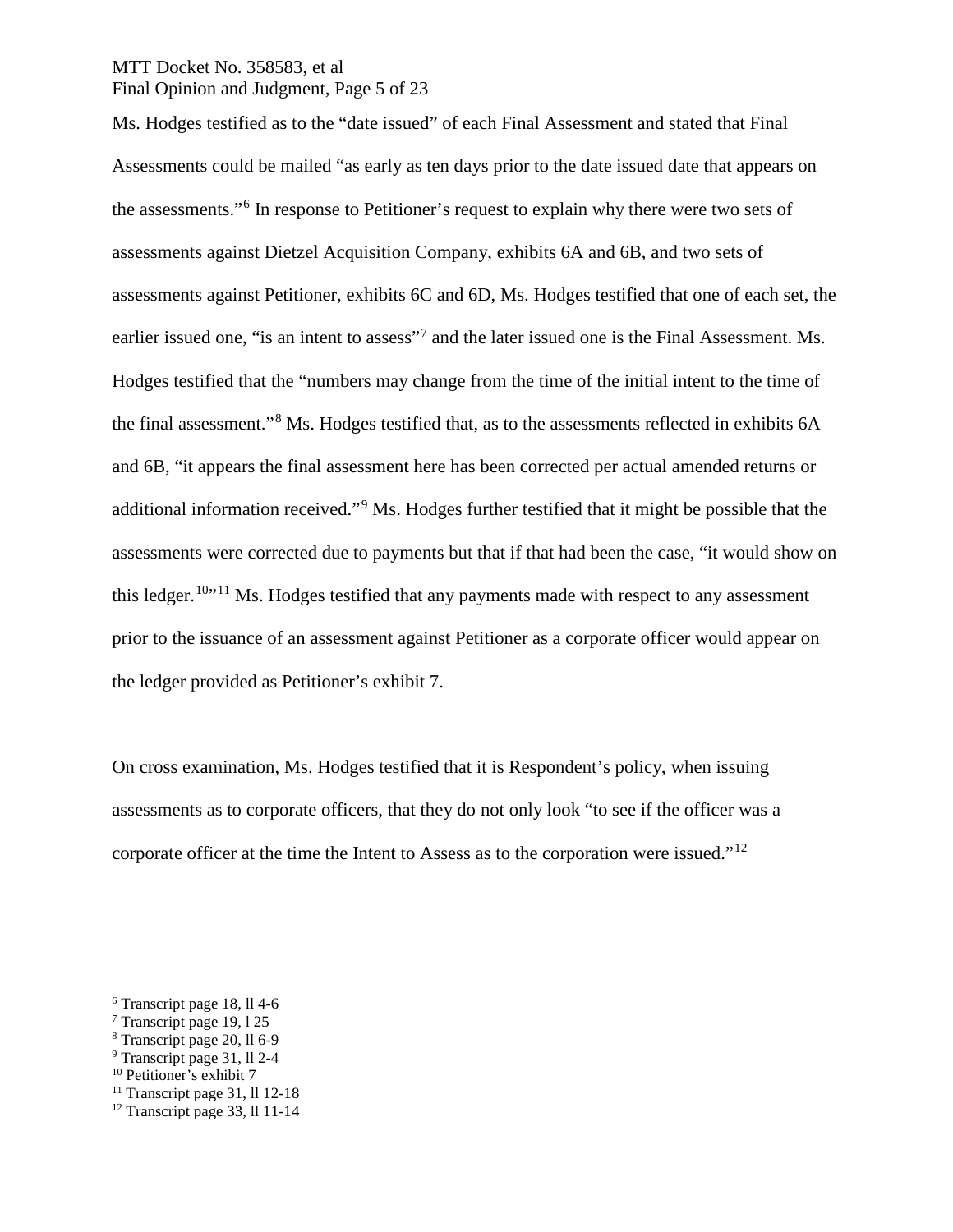# MTT Docket No. 358583, et al Final Opinion and Judgment, Page 5 of 23

Ms. Hodges testified as to the "date issued" of each Final Assessment and stated that Final Assessments could be mailed "as early as ten days prior to the date issued date that appears on the assessments."[6](#page-4-0) In response to Petitioner's request to explain why there were two sets of assessments against Dietzel Acquisition Company, exhibits 6A and 6B, and two sets of assessments against Petitioner, exhibits 6C and 6D, Ms. Hodges testified that one of each set, the earlier issued one, "is an intent to assess"<sup>[7](#page-4-1)</sup> and the later issued one is the Final Assessment. Ms. Hodges testified that the "numbers may change from the time of the initial intent to the time of the final assessment."[8](#page-4-2) Ms. Hodges testified that, as to the assessments reflected in exhibits 6A and 6B, "it appears the final assessment here has been corrected per actual amended returns or additional information received."[9](#page-4-3) Ms. Hodges further testified that it might be possible that the assessments were corrected due to payments but that if that had been the case, "it would show on this ledger.<sup>[10](#page-4-4)</sup> $11$  Ms. Hodges testified that any payments made with respect to any assessment prior to the issuance of an assessment against Petitioner as a corporate officer would appear on the ledger provided as Petitioner's exhibit 7.

On cross examination, Ms. Hodges testified that it is Respondent's policy, when issuing assessments as to corporate officers, that they do not only look "to see if the officer was a corporate officer at the time the Intent to Assess as to the corporation were issued."<sup>[12](#page-4-6)</sup>

<span id="page-4-0"></span> <sup>6</sup> Transcript page 18, ll 4-6

<span id="page-4-1"></span><sup>7</sup> Transcript page 19, l 25

<span id="page-4-2"></span><sup>8</sup> Transcript page 20, ll 6-9

<span id="page-4-3"></span><sup>9</sup> Transcript page 31, ll 2-4

<span id="page-4-4"></span><sup>&</sup>lt;sup>10</sup> Petitioner's exhibit 7

<span id="page-4-5"></span> $11$  Transcript page 31, ll 12-18

<span id="page-4-6"></span> $12$  Transcript page 33, ll 11-14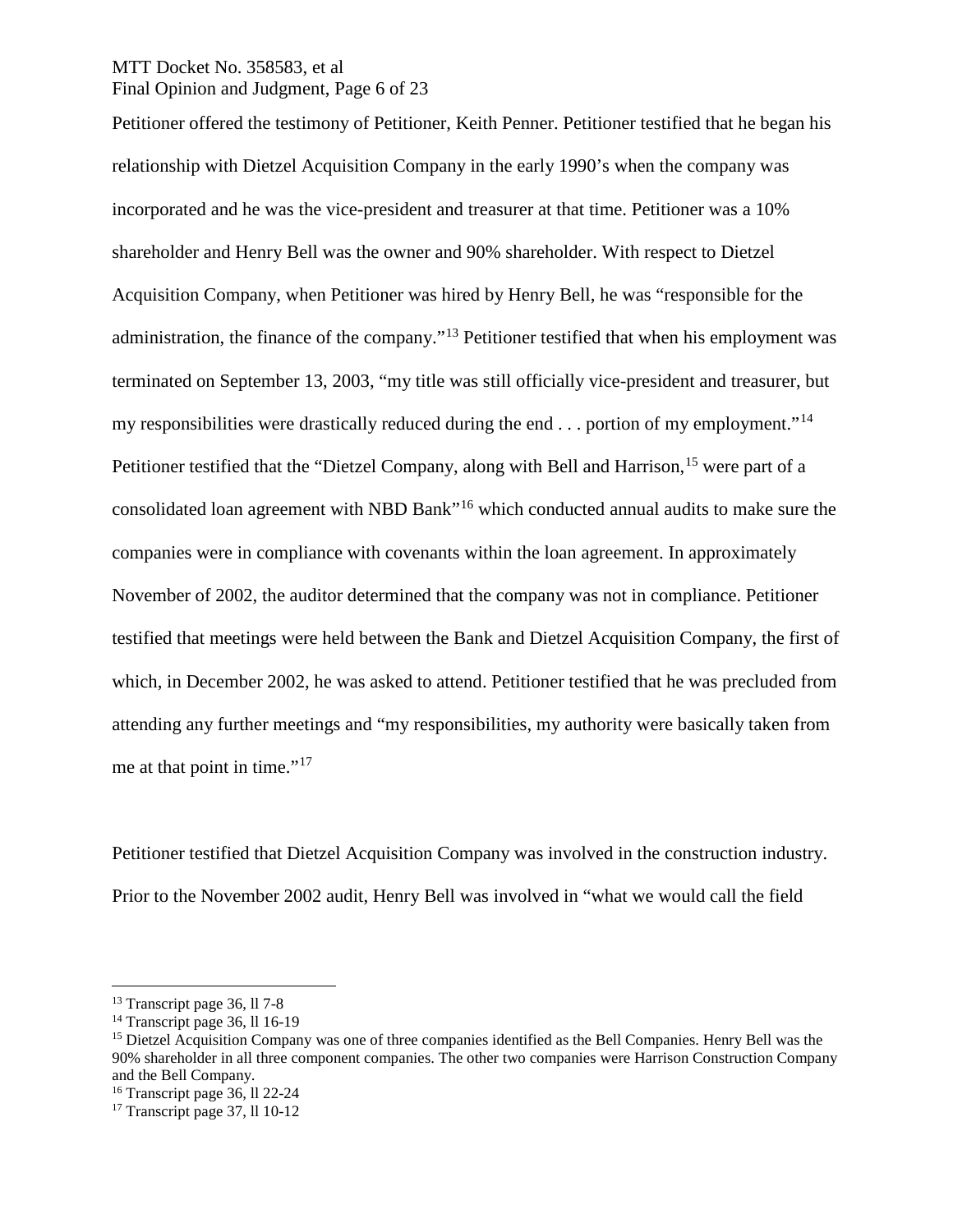### MTT Docket No. 358583, et al Final Opinion and Judgment, Page 6 of 23

Petitioner offered the testimony of Petitioner, Keith Penner. Petitioner testified that he began his relationship with Dietzel Acquisition Company in the early 1990's when the company was incorporated and he was the vice-president and treasurer at that time. Petitioner was a 10% shareholder and Henry Bell was the owner and 90% shareholder. With respect to Dietzel Acquisition Company, when Petitioner was hired by Henry Bell, he was "responsible for the administration, the finance of the company."[13](#page-5-0) Petitioner testified that when his employment was terminated on September 13, 2003, "my title was still officially vice-president and treasurer, but my responsibilities were drastically reduced during the end  $\dots$  portion of my employment."<sup>[14](#page-5-1)</sup> Petitioner testified that the "Dietzel Company, along with Bell and Harrison,<sup>[15](#page-5-2)</sup> were part of a consolidated loan agreement with NBD Bank"[16](#page-5-3) which conducted annual audits to make sure the companies were in compliance with covenants within the loan agreement. In approximately November of 2002, the auditor determined that the company was not in compliance. Petitioner testified that meetings were held between the Bank and Dietzel Acquisition Company, the first of which, in December 2002, he was asked to attend. Petitioner testified that he was precluded from attending any further meetings and "my responsibilities, my authority were basically taken from me at that point in time."<sup>[17](#page-5-4)</sup>

Petitioner testified that Dietzel Acquisition Company was involved in the construction industry. Prior to the November 2002 audit, Henry Bell was involved in "what we would call the field

<span id="page-5-0"></span> <sup>13</sup> Transcript page 36, ll 7-8

<span id="page-5-1"></span><sup>&</sup>lt;sup>14</sup> Transcript page 36, ll 16-19

<span id="page-5-2"></span><sup>&</sup>lt;sup>15</sup> Dietzel Acquisition Company was one of three companies identified as the Bell Companies. Henry Bell was the 90% shareholder in all three component companies. The other two companies were Harrison Construction Company and the Bell Company.

<span id="page-5-3"></span><sup>16</sup> Transcript page 36, ll 22-24

<span id="page-5-4"></span> $17$  Transcript page 37, ll 10-12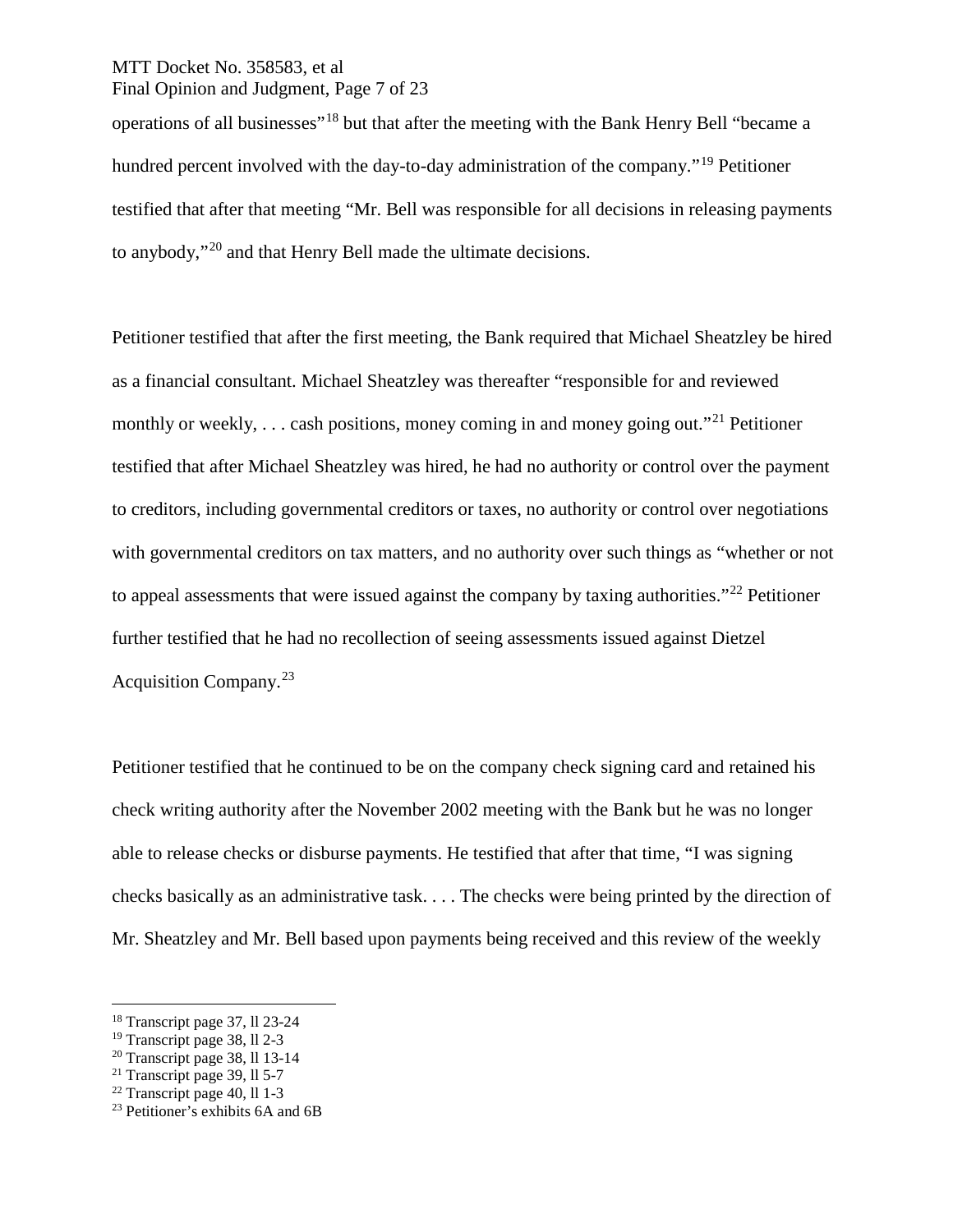#### MTT Docket No. 358583, et al Final Opinion and Judgment, Page 7 of 23

operations of all businesses"[18](#page-6-0) but that after the meeting with the Bank Henry Bell "became a hundred percent involved with the day-to-day administration of the company."<sup>[19](#page-6-1)</sup> Petitioner testified that after that meeting "Mr. Bell was responsible for all decisions in releasing payments to anybody,"[20](#page-6-2) and that Henry Bell made the ultimate decisions.

Petitioner testified that after the first meeting, the Bank required that Michael Sheatzley be hired as a financial consultant. Michael Sheatzley was thereafter "responsible for and reviewed monthly or weekly, ... cash positions, money coming in and money going out."<sup>[21](#page-6-3)</sup> Petitioner testified that after Michael Sheatzley was hired, he had no authority or control over the payment to creditors, including governmental creditors or taxes, no authority or control over negotiations with governmental creditors on tax matters, and no authority over such things as "whether or not to appeal assessments that were issued against the company by taxing authorities."<sup>[22](#page-6-4)</sup> Petitioner further testified that he had no recollection of seeing assessments issued against Dietzel Acquisition Company.[23](#page-6-5)

Petitioner testified that he continued to be on the company check signing card and retained his check writing authority after the November 2002 meeting with the Bank but he was no longer able to release checks or disburse payments. He testified that after that time, "I was signing checks basically as an administrative task. . . . The checks were being printed by the direction of Mr. Sheatzley and Mr. Bell based upon payments being received and this review of the weekly

<span id="page-6-0"></span> <sup>18</sup> Transcript page 37, ll 23-24

<span id="page-6-1"></span><sup>19</sup> Transcript page 38, ll 2-3

<span id="page-6-2"></span> $20$  Transcript page 38, 11 13-14

<span id="page-6-3"></span> $21$  Transcript page 39, 11 5-7

<span id="page-6-4"></span><sup>22</sup> Transcript page 40, ll 1-3

<span id="page-6-5"></span><sup>&</sup>lt;sup>23</sup> Petitioner's exhibits 6A and 6B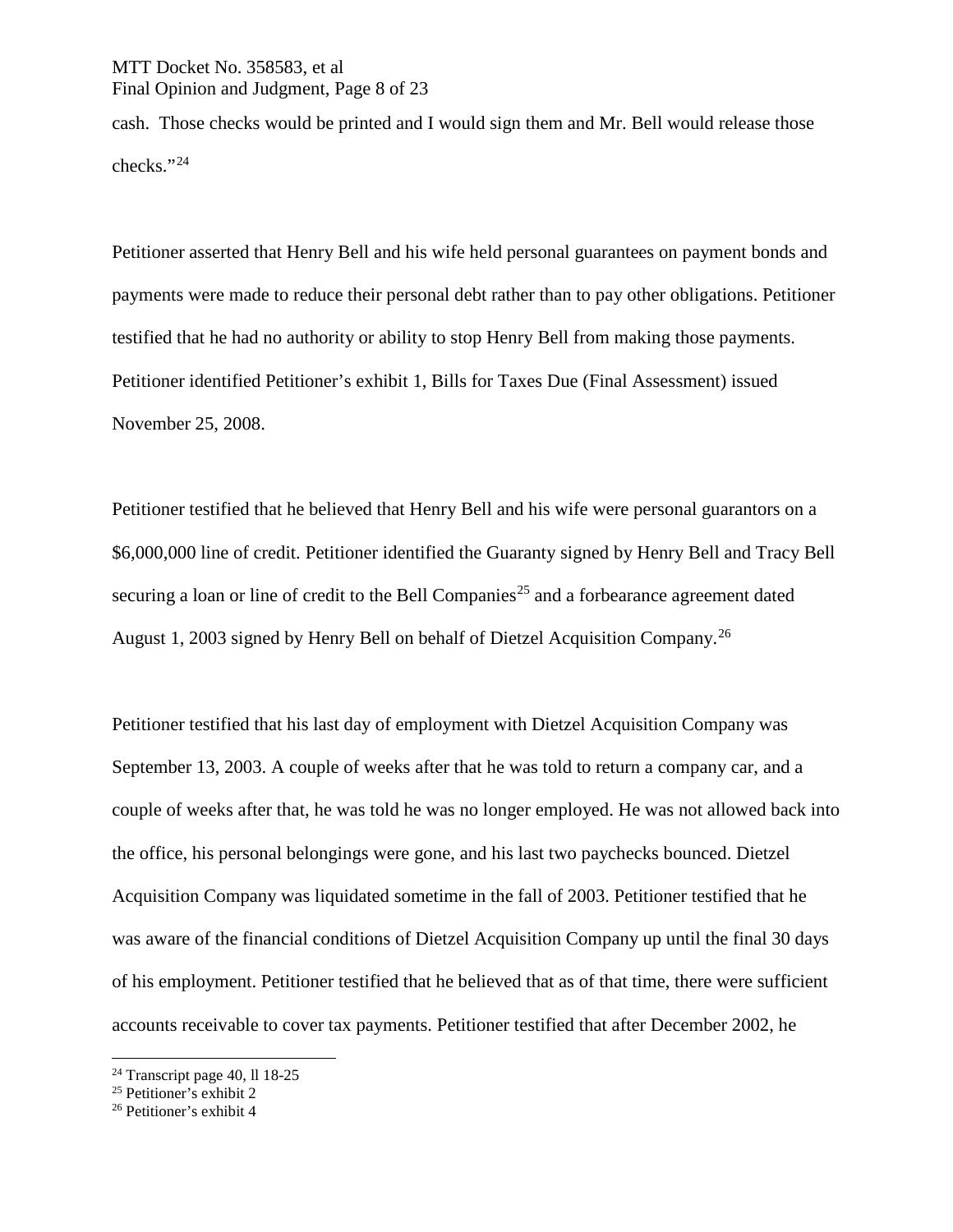# MTT Docket No. 358583, et al Final Opinion and Judgment, Page 8 of 23

cash. Those checks would be printed and I would sign them and Mr. Bell would release those checks."[24](#page-7-0)

Petitioner asserted that Henry Bell and his wife held personal guarantees on payment bonds and payments were made to reduce their personal debt rather than to pay other obligations. Petitioner testified that he had no authority or ability to stop Henry Bell from making those payments. Petitioner identified Petitioner's exhibit 1, Bills for Taxes Due (Final Assessment) issued November 25, 2008.

Petitioner testified that he believed that Henry Bell and his wife were personal guarantors on a \$6,000,000 line of credit. Petitioner identified the Guaranty signed by Henry Bell and Tracy Bell securing a loan or line of credit to the Bell Companies<sup>[25](#page-7-1)</sup> and a forbearance agreement dated August 1, 2003 signed by Henry Bell on behalf of Dietzel Acquisition Company.[26](#page-7-2)

Petitioner testified that his last day of employment with Dietzel Acquisition Company was September 13, 2003. A couple of weeks after that he was told to return a company car, and a couple of weeks after that, he was told he was no longer employed. He was not allowed back into the office, his personal belongings were gone, and his last two paychecks bounced. Dietzel Acquisition Company was liquidated sometime in the fall of 2003. Petitioner testified that he was aware of the financial conditions of Dietzel Acquisition Company up until the final 30 days of his employment. Petitioner testified that he believed that as of that time, there were sufficient accounts receivable to cover tax payments. Petitioner testified that after December 2002, he

<span id="page-7-0"></span> $24$  Transcript page 40, ll 18-25

<span id="page-7-1"></span><sup>25</sup> Petitioner's exhibit 2

<span id="page-7-2"></span><sup>26</sup> Petitioner's exhibit 4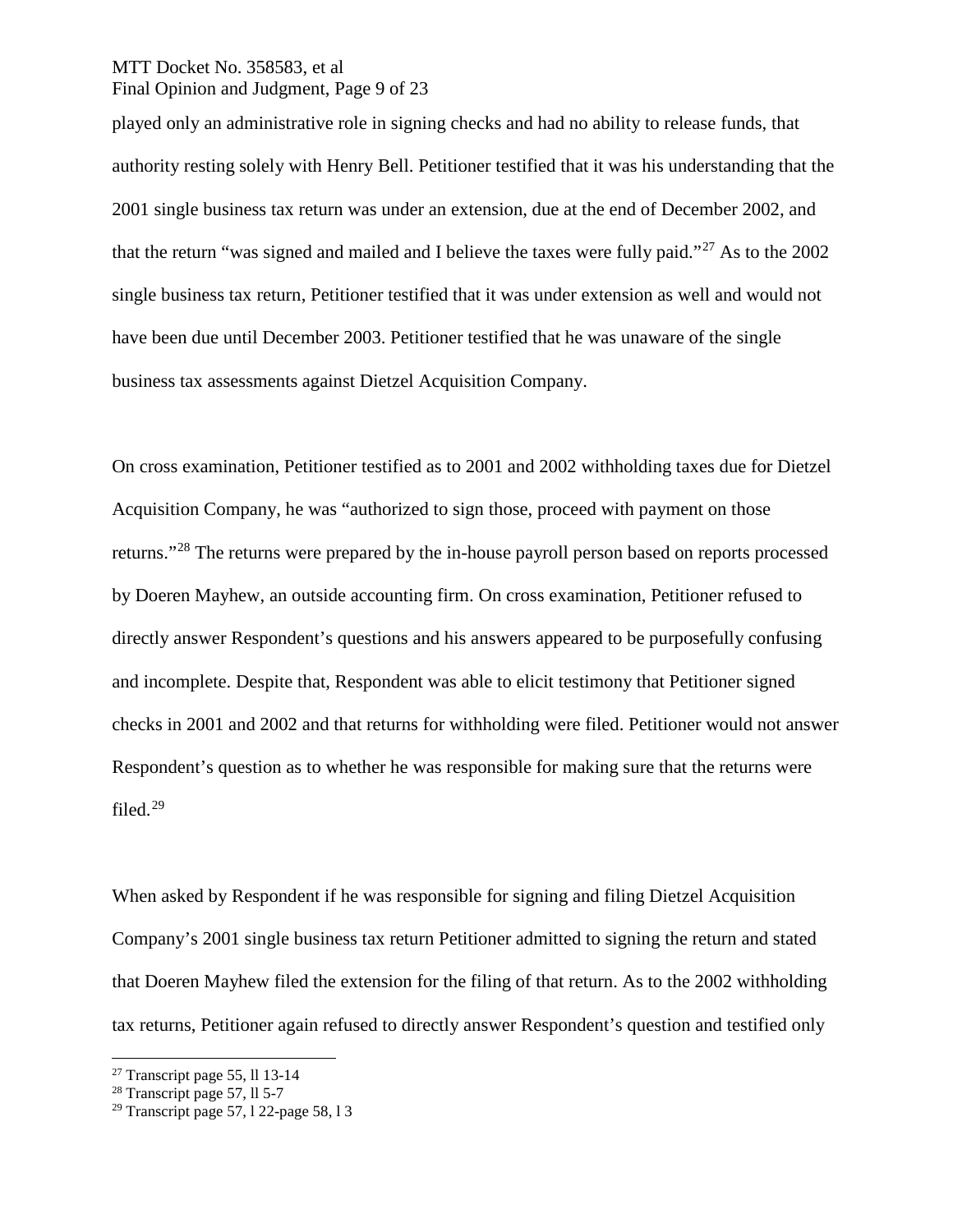### MTT Docket No. 358583, et al Final Opinion and Judgment, Page 9 of 23

played only an administrative role in signing checks and had no ability to release funds, that authority resting solely with Henry Bell. Petitioner testified that it was his understanding that the 2001 single business tax return was under an extension, due at the end of December 2002, and that the return "was signed and mailed and I believe the taxes were fully paid."<sup>[27](#page-8-0)</sup> As to the 2002 single business tax return, Petitioner testified that it was under extension as well and would not have been due until December 2003. Petitioner testified that he was unaware of the single business tax assessments against Dietzel Acquisition Company.

On cross examination, Petitioner testified as to 2001 and 2002 withholding taxes due for Dietzel Acquisition Company, he was "authorized to sign those, proceed with payment on those returns."[28](#page-8-1) The returns were prepared by the in-house payroll person based on reports processed by Doeren Mayhew, an outside accounting firm. On cross examination, Petitioner refused to directly answer Respondent's questions and his answers appeared to be purposefully confusing and incomplete. Despite that, Respondent was able to elicit testimony that Petitioner signed checks in 2001 and 2002 and that returns for withholding were filed. Petitioner would not answer Respondent's question as to whether he was responsible for making sure that the returns were filed.[29](#page-8-2)

When asked by Respondent if he was responsible for signing and filing Dietzel Acquisition Company's 2001 single business tax return Petitioner admitted to signing the return and stated that Doeren Mayhew filed the extension for the filing of that return. As to the 2002 withholding tax returns, Petitioner again refused to directly answer Respondent's question and testified only

<span id="page-8-0"></span> $27$  Transcript page 55, 11 13-14

<span id="page-8-1"></span> $28$  Transcript page 57, ll 5-7

<span id="page-8-2"></span><sup>&</sup>lt;sup>29</sup> Transcript page 57, 1 22-page 58, 1 3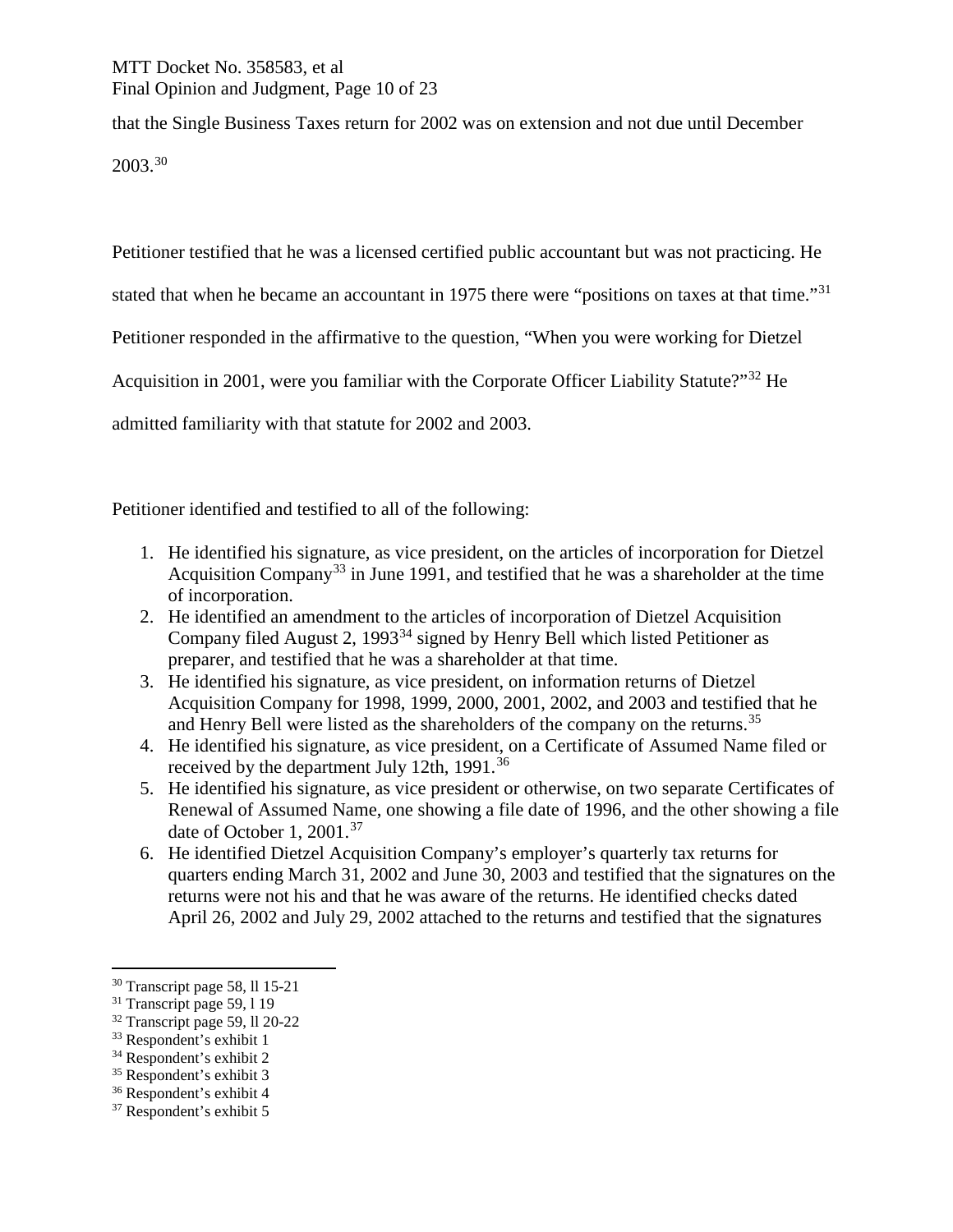# MTT Docket No. 358583, et al Final Opinion and Judgment, Page 10 of 23

that the Single Business Taxes return for 2002 was on extension and not due until December 2003.[30](#page-9-0)

Petitioner testified that he was a licensed certified public accountant but was not practicing. He

stated that when he became an accountant in 1975 there were "positions on taxes at that time."<sup>[31](#page-9-1)</sup>

Petitioner responded in the affirmative to the question, "When you were working for Dietzel

Acquisition in 2001, were you familiar with the Corporate Officer Liability Statute?"<sup>[32](#page-9-2)</sup> He

admitted familiarity with that statute for 2002 and 2003.

Petitioner identified and testified to all of the following:

- 1. He identified his signature, as vice president, on the articles of incorporation for Dietzel Acquisition Company<sup>[33](#page-9-3)</sup> in June 1991, and testified that he was a shareholder at the time of incorporation.
- 2. He identified an amendment to the articles of incorporation of Dietzel Acquisition Company filed August 2, 1993<sup>[34](#page-9-4)</sup> signed by Henry Bell which listed Petitioner as preparer, and testified that he was a shareholder at that time.
- 3. He identified his signature, as vice president, on information returns of Dietzel Acquisition Company for 1998, 1999, 2000, 2001, 2002, and 2003 and testified that he and Henry Bell were listed as the shareholders of the company on the returns.<sup>[35](#page-9-5)</sup>
- 4. He identified his signature, as vice president, on a Certificate of Assumed Name filed or received by the department July 12th, 1991.<sup>[36](#page-9-6)</sup>
- 5. He identified his signature, as vice president or otherwise, on two separate Certificates of Renewal of Assumed Name, one showing a file date of 1996, and the other showing a file date of October 1, 2001.<sup>[37](#page-9-7)</sup>
- 6. He identified Dietzel Acquisition Company's employer's quarterly tax returns for quarters ending March 31, 2002 and June 30, 2003 and testified that the signatures on the returns were not his and that he was aware of the returns. He identified checks dated April 26, 2002 and July 29, 2002 attached to the returns and testified that the signatures

<span id="page-9-0"></span> <sup>30</sup> Transcript page 58, ll 15-21

<span id="page-9-1"></span><sup>&</sup>lt;sup>31</sup> Transcript page 59, 1 19

<span id="page-9-2"></span><sup>32</sup> Transcript page 59, ll 20-22

<span id="page-9-3"></span><sup>33</sup> Respondent's exhibit 1

<span id="page-9-4"></span><sup>34</sup> Respondent's exhibit 2

<span id="page-9-5"></span><sup>35</sup> Respondent's exhibit 3

<span id="page-9-6"></span><sup>36</sup> Respondent's exhibit 4

<span id="page-9-7"></span><sup>37</sup> Respondent's exhibit 5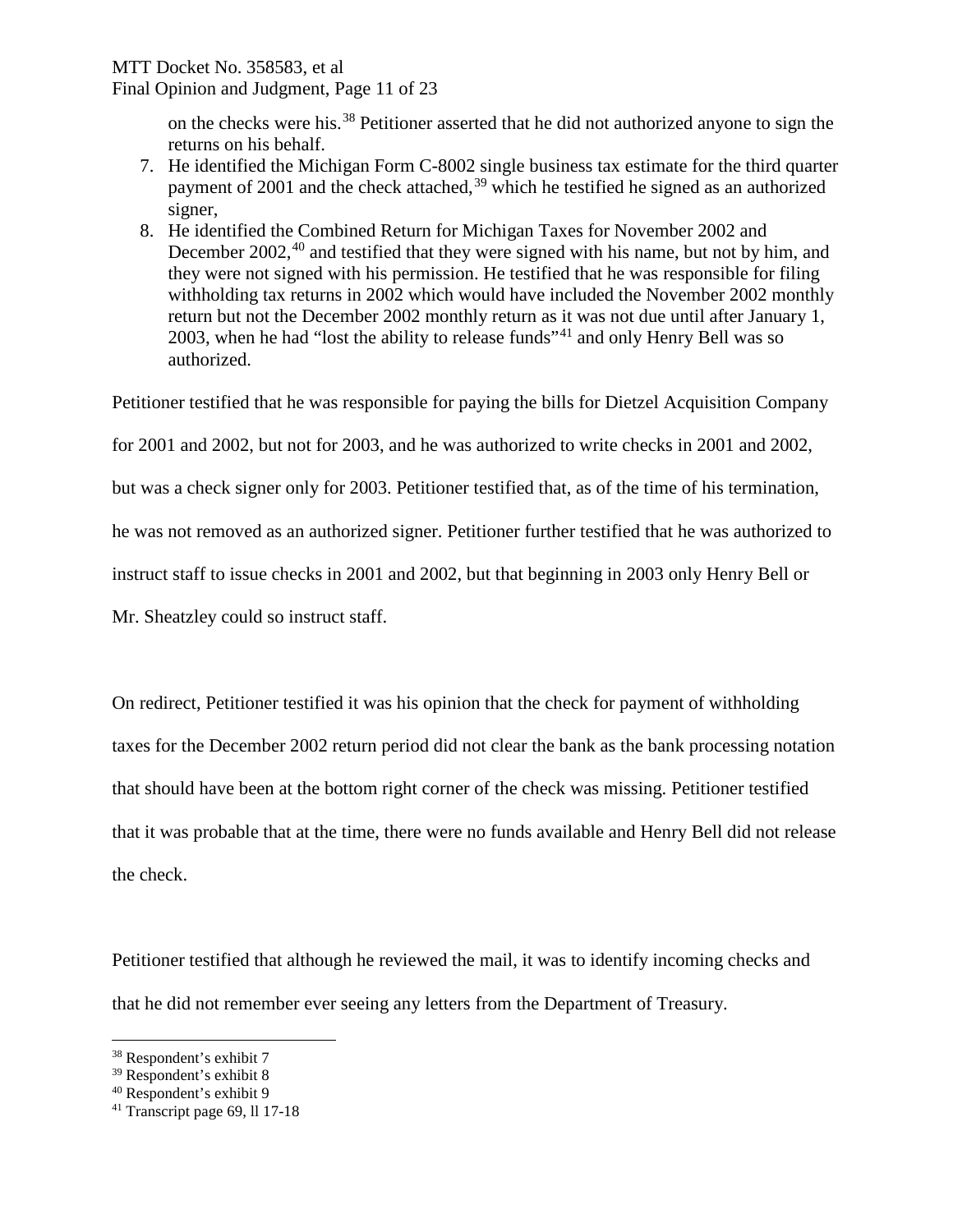# MTT Docket No. 358583, et al

Final Opinion and Judgment, Page 11 of 23

on the checks were his.[38](#page-10-0) Petitioner asserted that he did not authorized anyone to sign the returns on his behalf.

- 7. He identified the Michigan Form C-8002 single business tax estimate for the third quarter payment of 2001 and the check attached,<sup>[39](#page-10-1)</sup> which he testified he signed as an authorized signer,
- 8. He identified the Combined Return for Michigan Taxes for November 2002 and December 2002,<sup>[40](#page-10-2)</sup> and testified that they were signed with his name, but not by him, and they were not signed with his permission. He testified that he was responsible for filing withholding tax returns in 2002 which would have included the November 2002 monthly return but not the December 2002 monthly return as it was not due until after January 1, 2003, when he had "lost the ability to release funds"<sup>[41](#page-10-3)</sup> and only Henry Bell was so authorized.

Petitioner testified that he was responsible for paying the bills for Dietzel Acquisition Company

for 2001 and 2002, but not for 2003, and he was authorized to write checks in 2001 and 2002,

but was a check signer only for 2003. Petitioner testified that, as of the time of his termination,

he was not removed as an authorized signer. Petitioner further testified that he was authorized to

instruct staff to issue checks in 2001 and 2002, but that beginning in 2003 only Henry Bell or

Mr. Sheatzley could so instruct staff.

On redirect, Petitioner testified it was his opinion that the check for payment of withholding taxes for the December 2002 return period did not clear the bank as the bank processing notation that should have been at the bottom right corner of the check was missing. Petitioner testified that it was probable that at the time, there were no funds available and Henry Bell did not release the check.

Petitioner testified that although he reviewed the mail, it was to identify incoming checks and that he did not remember ever seeing any letters from the Department of Treasury.

<span id="page-10-0"></span> <sup>38</sup> Respondent's exhibit 7

<span id="page-10-1"></span><sup>39</sup> Respondent's exhibit 8

<span id="page-10-2"></span><sup>40</sup> Respondent's exhibit 9

<span id="page-10-3"></span><sup>41</sup> Transcript page 69, ll 17-18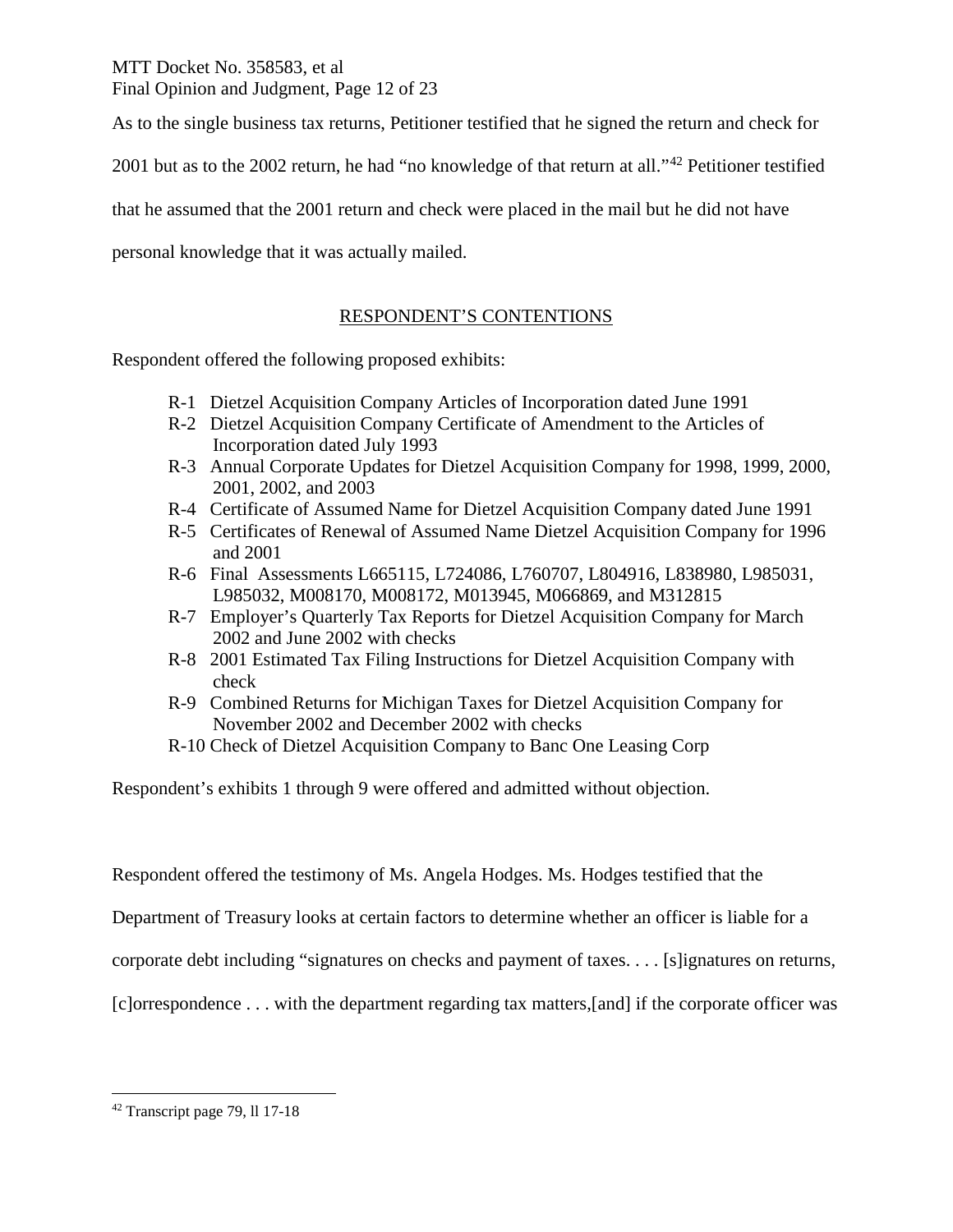MTT Docket No. 358583, et al Final Opinion and Judgment, Page 12 of 23

As to the single business tax returns, Petitioner testified that he signed the return and check for

2001 but as to the 2002 return, he had "no knowledge of that return at all."<sup>[42](#page-11-0)</sup> Petitioner testified

that he assumed that the 2001 return and check were placed in the mail but he did not have

personal knowledge that it was actually mailed.

# RESPONDENT'S CONTENTIONS

Respondent offered the following proposed exhibits:

- R-1 Dietzel Acquisition Company Articles of Incorporation dated June 1991
- R-2 Dietzel Acquisition Company Certificate of Amendment to the Articles of Incorporation dated July 1993
- R-3 Annual Corporate Updates for Dietzel Acquisition Company for 1998, 1999, 2000, 2001, 2002, and 2003
- R-4 Certificate of Assumed Name for Dietzel Acquisition Company dated June 1991
- R-5 Certificates of Renewal of Assumed Name Dietzel Acquisition Company for 1996 and 2001
- R-6 Final Assessments L665115, L724086, L760707, L804916, L838980, L985031, L985032, M008170, M008172, M013945, M066869, and M312815
- R-7 Employer's Quarterly Tax Reports for Dietzel Acquisition Company for March 2002 and June 2002 with checks
- R-8 2001 Estimated Tax Filing Instructions for Dietzel Acquisition Company with check
- R-9 Combined Returns for Michigan Taxes for Dietzel Acquisition Company for November 2002 and December 2002 with checks
- R-10 Check of Dietzel Acquisition Company to Banc One Leasing Corp

Respondent's exhibits 1 through 9 were offered and admitted without objection.

Respondent offered the testimony of Ms. Angela Hodges. Ms. Hodges testified that the

Department of Treasury looks at certain factors to determine whether an officer is liable for a

corporate debt including "signatures on checks and payment of taxes. . . . [s]ignatures on returns,

[c]orrespondence . . . with the department regarding tax matters,[and] if the corporate officer was

<span id="page-11-0"></span> <sup>42</sup> Transcript page 79, ll 17-18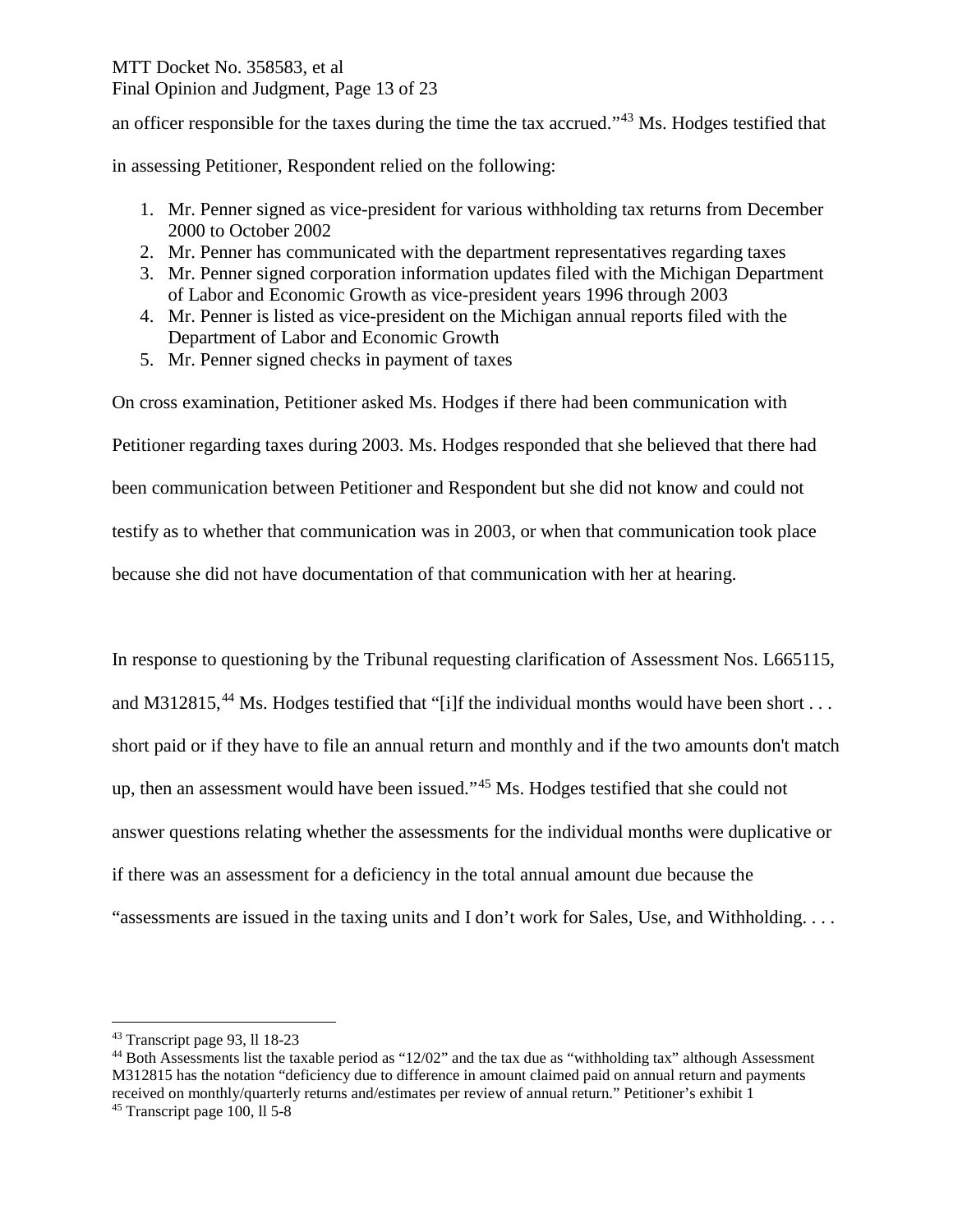# MTT Docket No. 358583, et al Final Opinion and Judgment, Page 13 of 23

an officer responsible for the taxes during the time the tax accrued."[43](#page-12-0) Ms. Hodges testified that

in assessing Petitioner, Respondent relied on the following:

- 1. Mr. Penner signed as vice-president for various withholding tax returns from December 2000 to October 2002
- 2. Mr. Penner has communicated with the department representatives regarding taxes
- 3. Mr. Penner signed corporation information updates filed with the Michigan Department of Labor and Economic Growth as vice-president years 1996 through 2003
- 4. Mr. Penner is listed as vice-president on the Michigan annual reports filed with the Department of Labor and Economic Growth
- 5. Mr. Penner signed checks in payment of taxes

On cross examination, Petitioner asked Ms. Hodges if there had been communication with Petitioner regarding taxes during 2003. Ms. Hodges responded that she believed that there had been communication between Petitioner and Respondent but she did not know and could not testify as to whether that communication was in 2003, or when that communication took place because she did not have documentation of that communication with her at hearing.

In response to questioning by the Tribunal requesting clarification of Assessment Nos. L665115, and M312815,<sup>[44](#page-12-1)</sup> Ms. Hodges testified that "[i]f the individual months would have been short . . . short paid or if they have to file an annual return and monthly and if the two amounts don't match up, then an assessment would have been issued."[45](#page-12-2) Ms. Hodges testified that she could not answer questions relating whether the assessments for the individual months were duplicative or if there was an assessment for a deficiency in the total annual amount due because the "assessments are issued in the taxing units and I don't work for Sales, Use, and Withholding. . . .

<span id="page-12-0"></span> <sup>43</sup> Transcript page 93, ll 18-23

<span id="page-12-1"></span><sup>44</sup> Both Assessments list the taxable period as "12/02" and the tax due as "withholding tax" although Assessment M312815 has the notation "deficiency due to difference in amount claimed paid on annual return and payments received on monthly/quarterly returns and/estimates per review of annual return." Petitioner's exhibit 1

<span id="page-12-2"></span><sup>45</sup> Transcript page 100, ll 5-8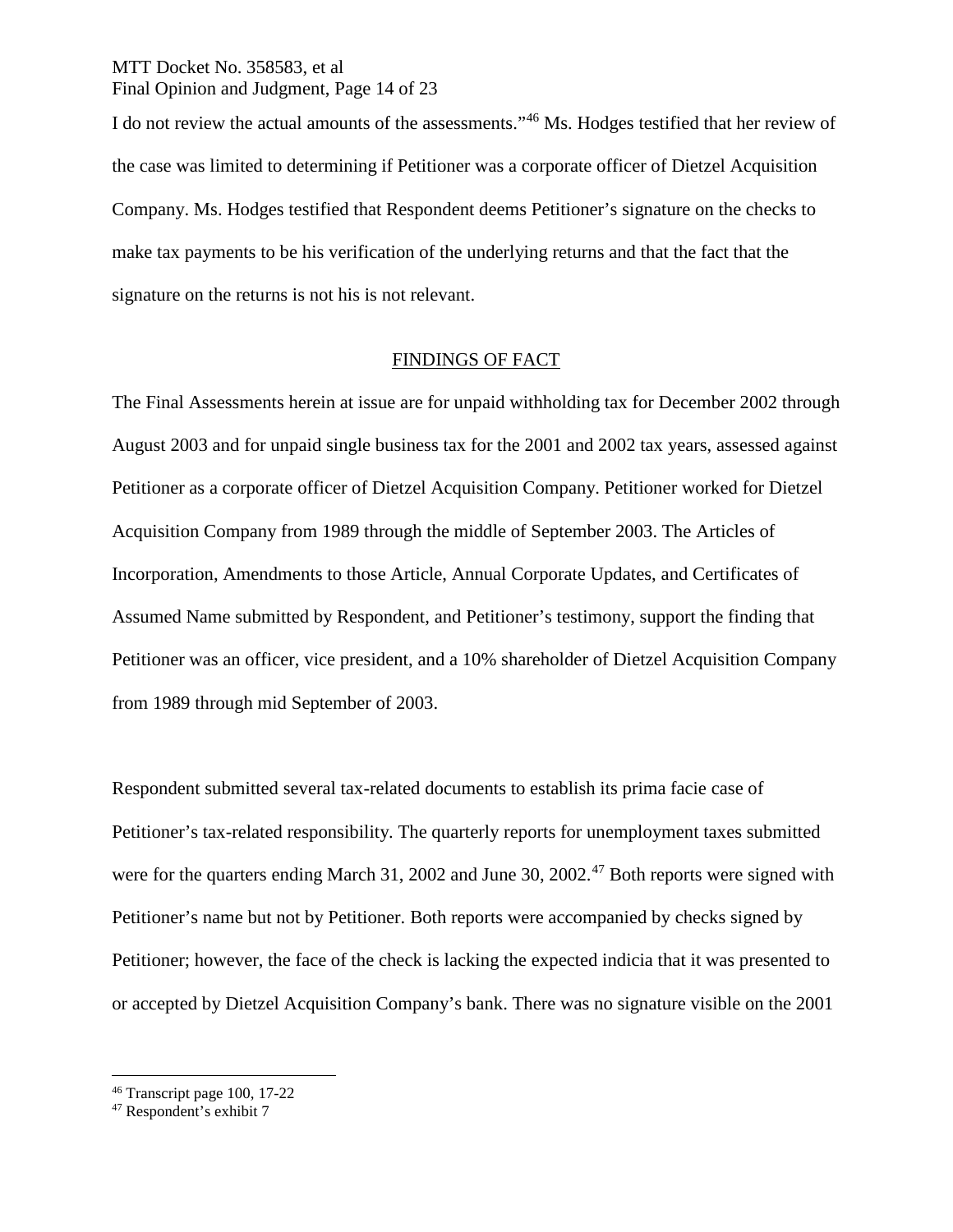# MTT Docket No. 358583, et al Final Opinion and Judgment, Page 14 of 23

I do not review the actual amounts of the assessments."[46](#page-13-0) Ms. Hodges testified that her review of the case was limited to determining if Petitioner was a corporate officer of Dietzel Acquisition Company. Ms. Hodges testified that Respondent deems Petitioner's signature on the checks to make tax payments to be his verification of the underlying returns and that the fact that the signature on the returns is not his is not relevant.

# FINDINGS OF FACT

The Final Assessments herein at issue are for unpaid withholding tax for December 2002 through August 2003 and for unpaid single business tax for the 2001 and 2002 tax years, assessed against Petitioner as a corporate officer of Dietzel Acquisition Company. Petitioner worked for Dietzel Acquisition Company from 1989 through the middle of September 2003. The Articles of Incorporation, Amendments to those Article, Annual Corporate Updates, and Certificates of Assumed Name submitted by Respondent, and Petitioner's testimony, support the finding that Petitioner was an officer, vice president, and a 10% shareholder of Dietzel Acquisition Company from 1989 through mid September of 2003.

Respondent submitted several tax-related documents to establish its prima facie case of Petitioner's tax-related responsibility. The quarterly reports for unemployment taxes submitted were for the quarters ending March 31, 2002 and June 30, 2002.<sup>[47](#page-13-1)</sup> Both reports were signed with Petitioner's name but not by Petitioner. Both reports were accompanied by checks signed by Petitioner; however, the face of the check is lacking the expected indicia that it was presented to or accepted by Dietzel Acquisition Company's bank. There was no signature visible on the 2001

<span id="page-13-0"></span> <sup>46</sup> Transcript page 100, 17-22

<span id="page-13-1"></span><sup>47</sup> Respondent's exhibit 7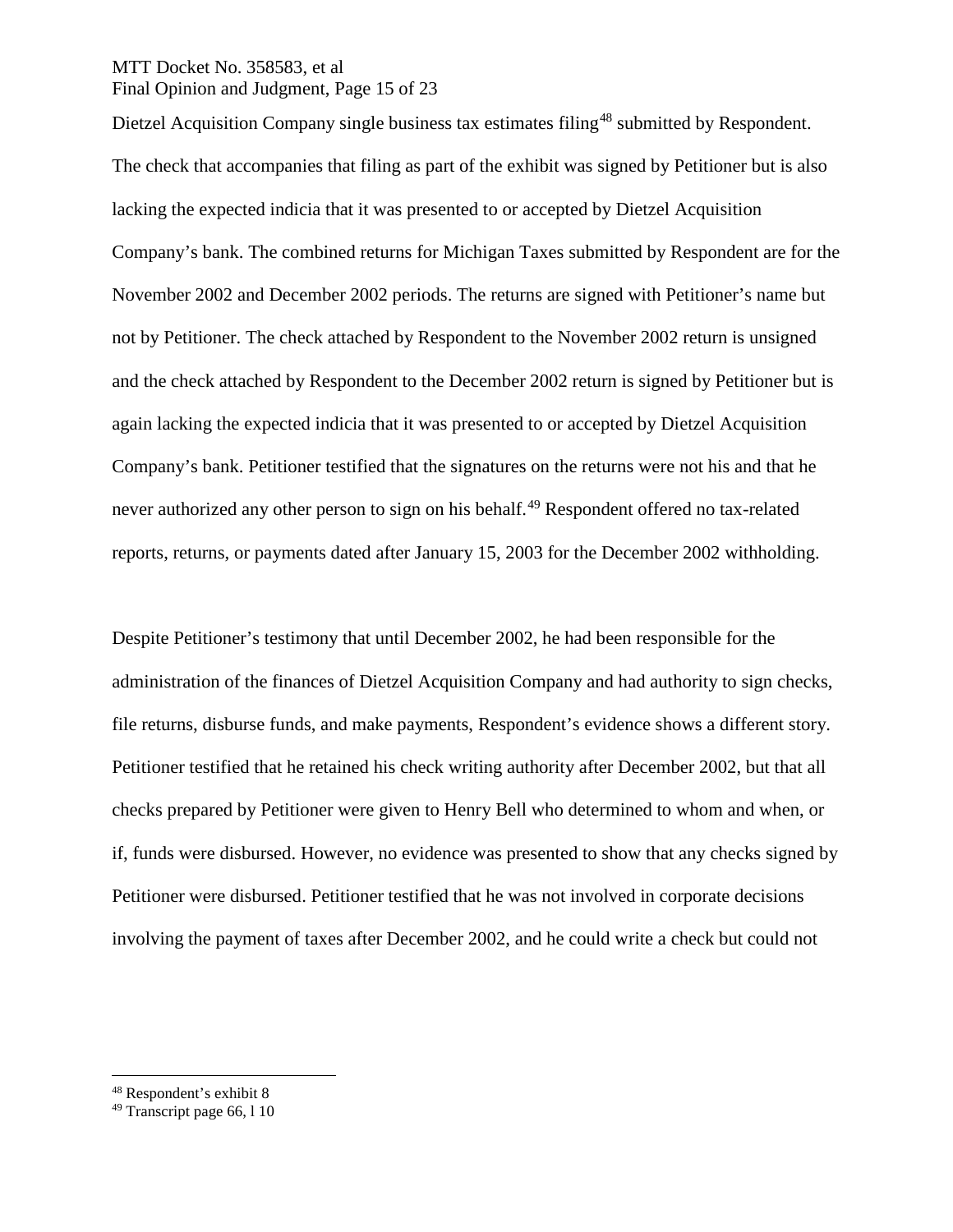# MTT Docket No. 358583, et al Final Opinion and Judgment, Page 15 of 23

Dietzel Acquisition Company single business tax estimates filing<sup>[48](#page-14-0)</sup> submitted by Respondent. The check that accompanies that filing as part of the exhibit was signed by Petitioner but is also lacking the expected indicia that it was presented to or accepted by Dietzel Acquisition Company's bank. The combined returns for Michigan Taxes submitted by Respondent are for the November 2002 and December 2002 periods. The returns are signed with Petitioner's name but not by Petitioner. The check attached by Respondent to the November 2002 return is unsigned and the check attached by Respondent to the December 2002 return is signed by Petitioner but is again lacking the expected indicia that it was presented to or accepted by Dietzel Acquisition Company's bank. Petitioner testified that the signatures on the returns were not his and that he never authorized any other person to sign on his behalf.<sup>[49](#page-14-1)</sup> Respondent offered no tax-related reports, returns, or payments dated after January 15, 2003 for the December 2002 withholding.

Despite Petitioner's testimony that until December 2002, he had been responsible for the administration of the finances of Dietzel Acquisition Company and had authority to sign checks, file returns, disburse funds, and make payments, Respondent's evidence shows a different story. Petitioner testified that he retained his check writing authority after December 2002, but that all checks prepared by Petitioner were given to Henry Bell who determined to whom and when, or if, funds were disbursed. However, no evidence was presented to show that any checks signed by Petitioner were disbursed. Petitioner testified that he was not involved in corporate decisions involving the payment of taxes after December 2002, and he could write a check but could not

<span id="page-14-0"></span> <sup>48</sup> Respondent's exhibit 8

<span id="page-14-1"></span><sup>49</sup> Transcript page 66, l 10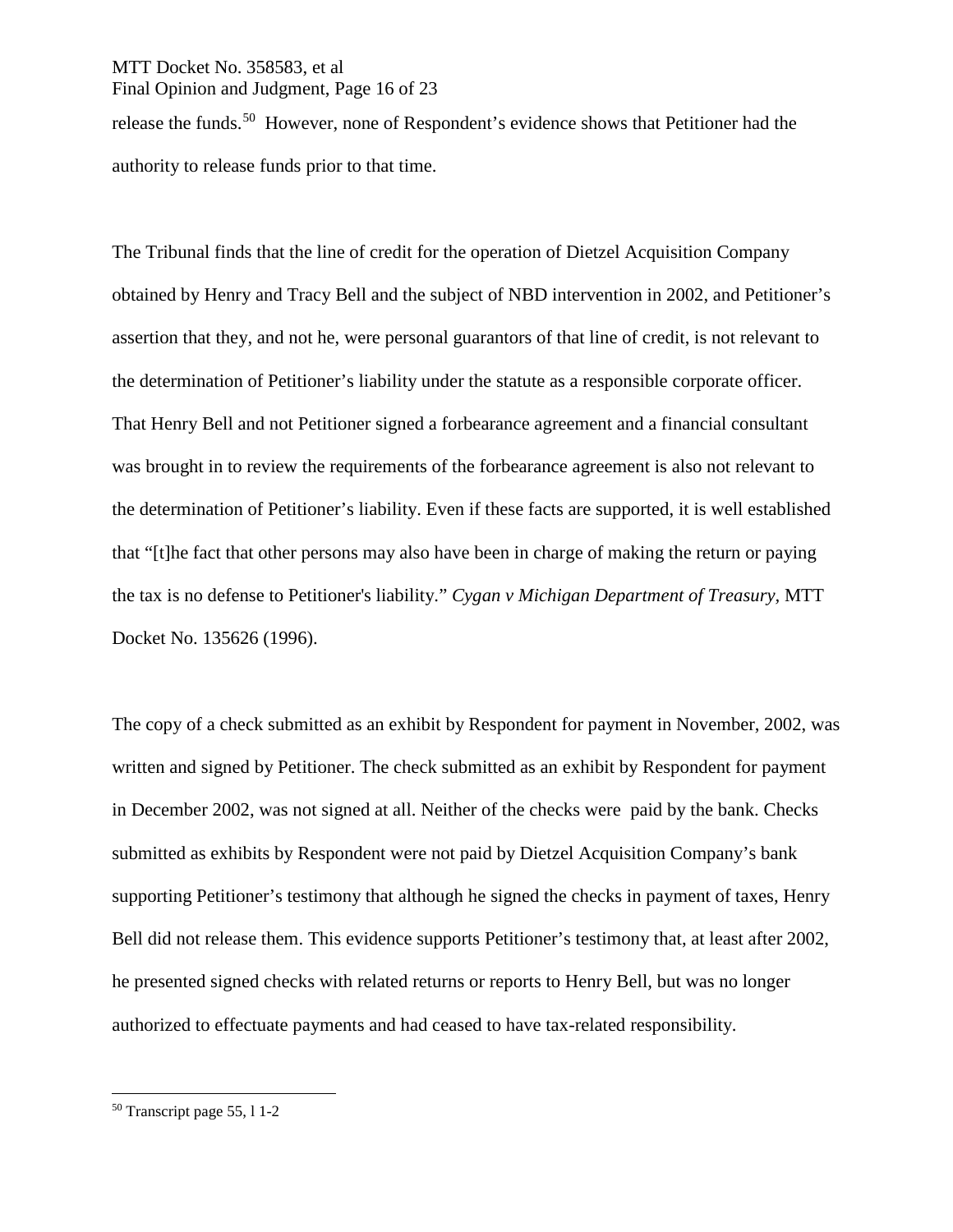#### MTT Docket No. 358583, et al Final Opinion and Judgment, Page 16 of 23

release the funds.[50](#page-15-0) However, none of Respondent's evidence shows that Petitioner had the authority to release funds prior to that time.

The Tribunal finds that the line of credit for the operation of Dietzel Acquisition Company obtained by Henry and Tracy Bell and the subject of NBD intervention in 2002, and Petitioner's assertion that they, and not he, were personal guarantors of that line of credit, is not relevant to the determination of Petitioner's liability under the statute as a responsible corporate officer. That Henry Bell and not Petitioner signed a forbearance agreement and a financial consultant was brought in to review the requirements of the forbearance agreement is also not relevant to the determination of Petitioner's liability. Even if these facts are supported, it is well established that "[t]he fact that other persons may also have been in charge of making the return or paying the tax is no defense to Petitioner's liability." *Cygan v Michigan Department of Treasury,* MTT Docket No. 135626 (1996).

The copy of a check submitted as an exhibit by Respondent for payment in November, 2002, was written and signed by Petitioner. The check submitted as an exhibit by Respondent for payment in December 2002, was not signed at all. Neither of the checks were paid by the bank. Checks submitted as exhibits by Respondent were not paid by Dietzel Acquisition Company's bank supporting Petitioner's testimony that although he signed the checks in payment of taxes, Henry Bell did not release them. This evidence supports Petitioner's testimony that, at least after 2002, he presented signed checks with related returns or reports to Henry Bell, but was no longer authorized to effectuate payments and had ceased to have tax-related responsibility.

<span id="page-15-0"></span> <sup>50</sup> Transcript page 55, l 1-2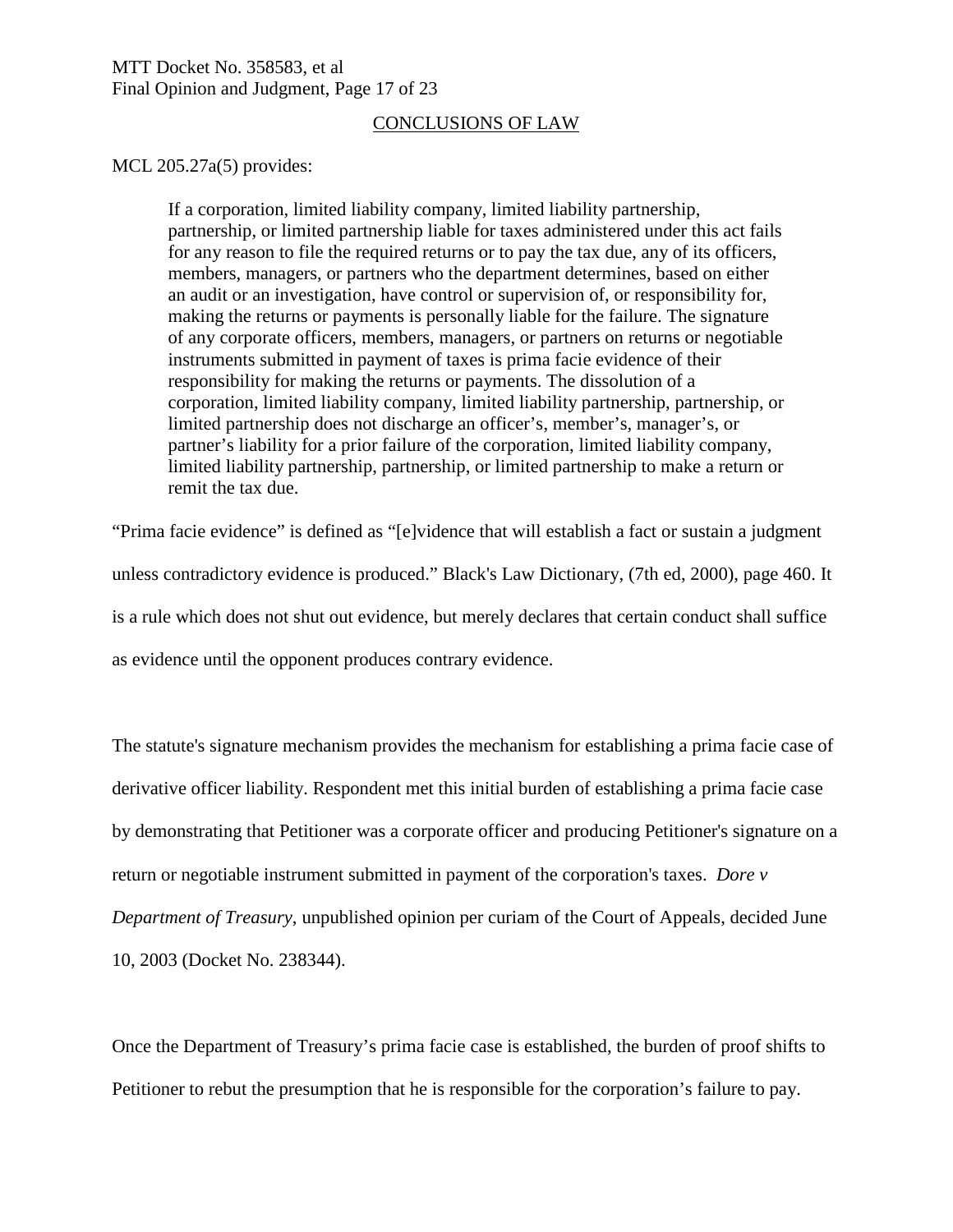#### MTT Docket No. 358583, et al Final Opinion and Judgment, Page 17 of 23

# CONCLUSIONS OF LAW

MCL 205.27a(5) provides:

If a corporation, limited liability company, limited liability partnership, partnership, or limited partnership liable for taxes administered under this act fails for any reason to file the required returns or to pay the tax due, any of its officers, members, managers, or partners who the department determines, based on either an audit or an investigation, have control or supervision of, or responsibility for, making the returns or payments is personally liable for the failure. The signature of any corporate officers, members, managers, or partners on returns or negotiable instruments submitted in payment of taxes is prima facie evidence of their responsibility for making the returns or payments. The dissolution of a corporation, limited liability company, limited liability partnership, partnership, or limited partnership does not discharge an officer's, member's, manager's, or partner's liability for a prior failure of the corporation, limited liability company, limited liability partnership, partnership, or limited partnership to make a return or remit the tax due.

"Prima facie evidence" is defined as "[e]vidence that will establish a fact or sustain a judgment unless contradictory evidence is produced." Black's Law Dictionary, (7th ed, 2000), page 460. It is a rule which does not shut out evidence, but merely declares that certain conduct shall suffice as evidence until the opponent produces contrary evidence.

The statute's signature mechanism provides the mechanism for establishing a prima facie case of derivative officer liability. Respondent met this initial burden of establishing a prima facie case by demonstrating that Petitioner was a corporate officer and producing Petitioner's signature on a return or negotiable instrument submitted in payment of the corporation's taxes. *Dore v Department of Treasury*, unpublished opinion per curiam of the Court of Appeals, decided June 10, 2003 (Docket No. 238344).

Once the Department of Treasury's prima facie case is established, the burden of proof shifts to Petitioner to rebut the presumption that he is responsible for the corporation's failure to pay.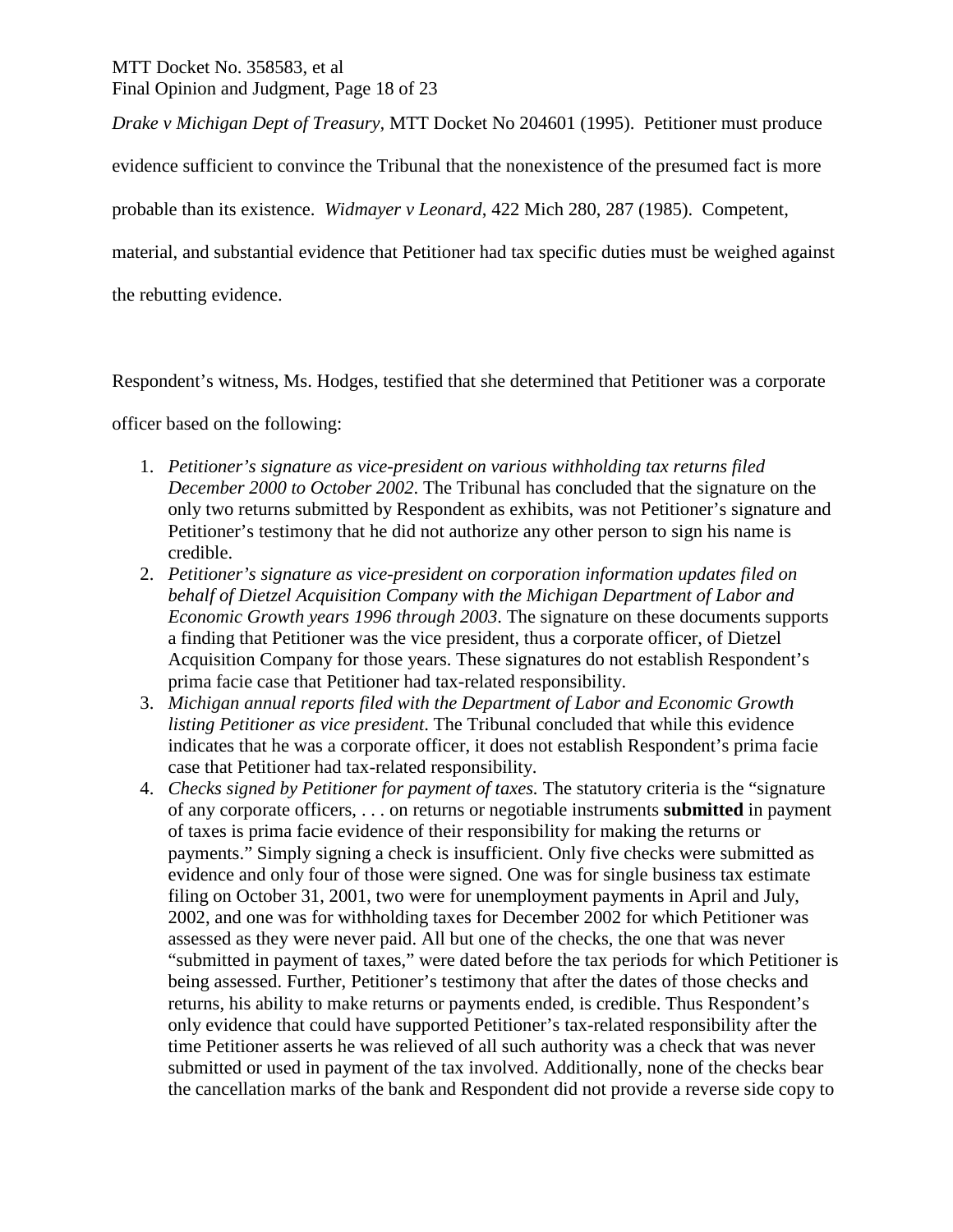MTT Docket No. 358583, et al Final Opinion and Judgment, Page 18 of 23

*Drake v Michigan Dept of Treasury,* MTT Docket No 204601 (1995). Petitioner must produce

evidence sufficient to convince the Tribunal that the nonexistence of the presumed fact is more

probable than its existence. *Widmayer v Leonard*, 422 Mich 280, 287 (1985). Competent,

material, and substantial evidence that Petitioner had tax specific duties must be weighed against

the rebutting evidence.

Respondent's witness, Ms. Hodges, testified that she determined that Petitioner was a corporate

officer based on the following:

- 1. *Petitioner's signature as vice-president on various withholding tax returns filed December 2000 to October 2002*. The Tribunal has concluded that the signature on the only two returns submitted by Respondent as exhibits, was not Petitioner's signature and Petitioner's testimony that he did not authorize any other person to sign his name is credible.
- 2. *Petitioner's signature as vice-president on corporation information updates filed on behalf of Dietzel Acquisition Company with the Michigan Department of Labor and Economic Growth years 1996 through 2003*. The signature on these documents supports a finding that Petitioner was the vice president, thus a corporate officer, of Dietzel Acquisition Company for those years. These signatures do not establish Respondent's prima facie case that Petitioner had tax-related responsibility.
- 3. *Michigan annual reports filed with the Department of Labor and Economic Growth listing Petitioner as vice president*. The Tribunal concluded that while this evidence indicates that he was a corporate officer, it does not establish Respondent's prima facie case that Petitioner had tax-related responsibility.
- 4. *Checks signed by Petitioner for payment of taxes.* The statutory criteria is the "signature of any corporate officers, . . . on returns or negotiable instruments **submitted** in payment of taxes is prima facie evidence of their responsibility for making the returns or payments." Simply signing a check is insufficient. Only five checks were submitted as evidence and only four of those were signed. One was for single business tax estimate filing on October 31, 2001, two were for unemployment payments in April and July, 2002, and one was for withholding taxes for December 2002 for which Petitioner was assessed as they were never paid. All but one of the checks, the one that was never "submitted in payment of taxes," were dated before the tax periods for which Petitioner is being assessed. Further, Petitioner's testimony that after the dates of those checks and returns, his ability to make returns or payments ended, is credible. Thus Respondent's only evidence that could have supported Petitioner's tax-related responsibility after the time Petitioner asserts he was relieved of all such authority was a check that was never submitted or used in payment of the tax involved. Additionally, none of the checks bear the cancellation marks of the bank and Respondent did not provide a reverse side copy to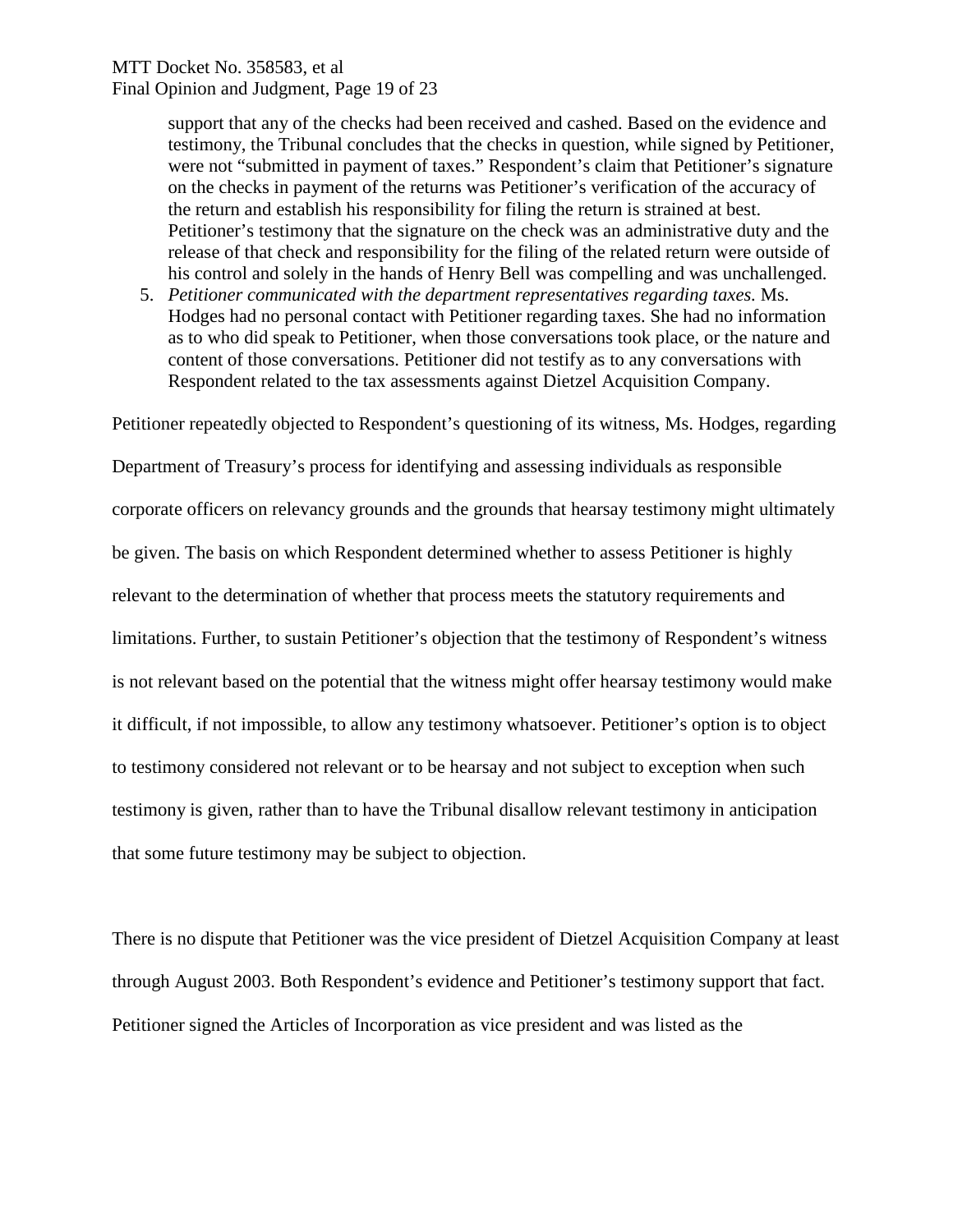# MTT Docket No. 358583, et al Final Opinion and Judgment, Page 19 of 23

support that any of the checks had been received and cashed. Based on the evidence and testimony, the Tribunal concludes that the checks in question, while signed by Petitioner, were not "submitted in payment of taxes." Respondent's claim that Petitioner's signature on the checks in payment of the returns was Petitioner's verification of the accuracy of the return and establish his responsibility for filing the return is strained at best. Petitioner's testimony that the signature on the check was an administrative duty and the release of that check and responsibility for the filing of the related return were outside of his control and solely in the hands of Henry Bell was compelling and was unchallenged.

5. *Petitioner communicated with the department representatives regarding taxes.* Ms. Hodges had no personal contact with Petitioner regarding taxes. She had no information as to who did speak to Petitioner, when those conversations took place, or the nature and content of those conversations. Petitioner did not testify as to any conversations with Respondent related to the tax assessments against Dietzel Acquisition Company.

Petitioner repeatedly objected to Respondent's questioning of its witness, Ms. Hodges, regarding

Department of Treasury's process for identifying and assessing individuals as responsible corporate officers on relevancy grounds and the grounds that hearsay testimony might ultimately be given. The basis on which Respondent determined whether to assess Petitioner is highly relevant to the determination of whether that process meets the statutory requirements and limitations. Further, to sustain Petitioner's objection that the testimony of Respondent's witness is not relevant based on the potential that the witness might offer hearsay testimony would make it difficult, if not impossible, to allow any testimony whatsoever. Petitioner's option is to object to testimony considered not relevant or to be hearsay and not subject to exception when such testimony is given, rather than to have the Tribunal disallow relevant testimony in anticipation that some future testimony may be subject to objection.

There is no dispute that Petitioner was the vice president of Dietzel Acquisition Company at least through August 2003. Both Respondent's evidence and Petitioner's testimony support that fact. Petitioner signed the Articles of Incorporation as vice president and was listed as the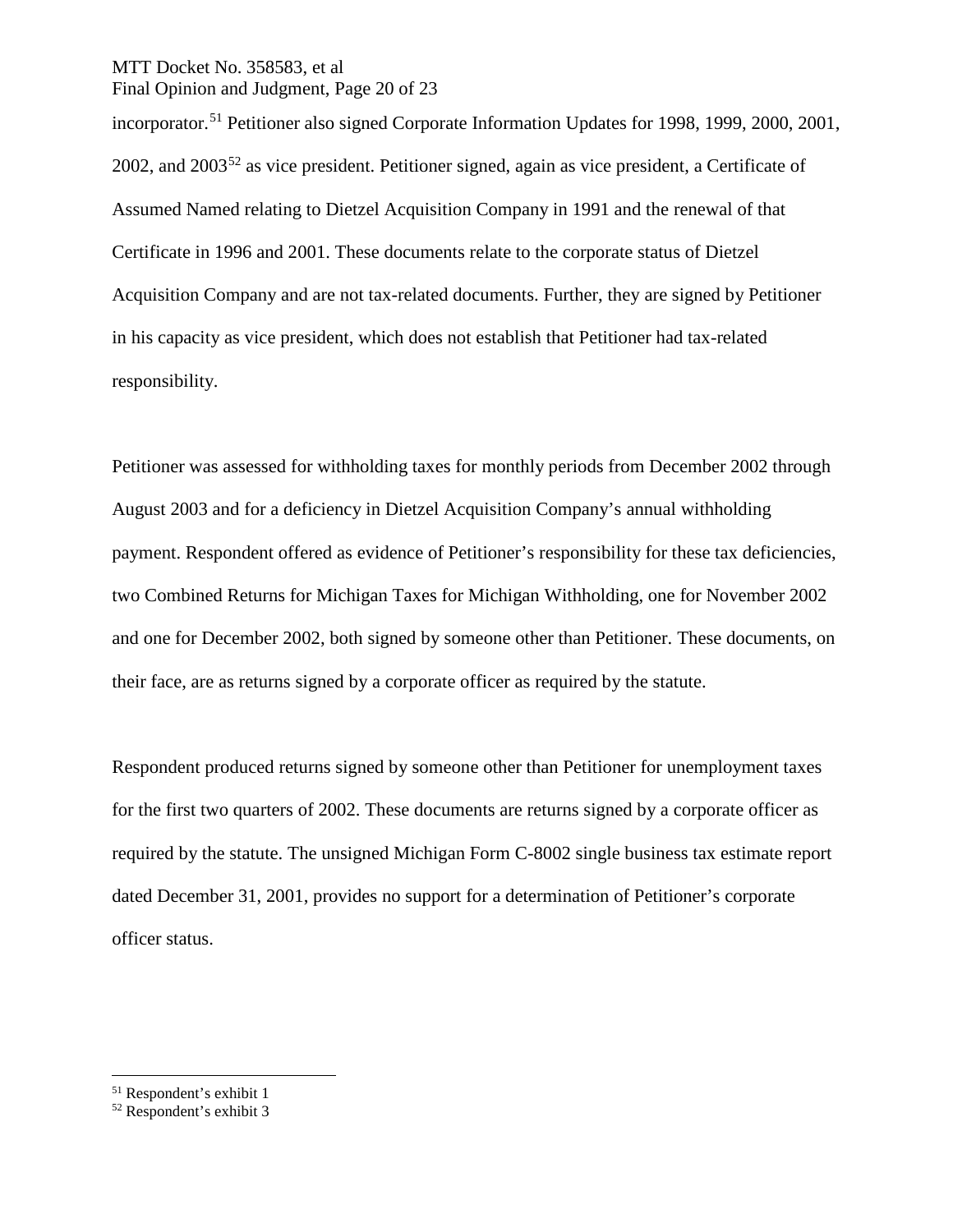#### MTT Docket No. 358583, et al Final Opinion and Judgment, Page 20 of 23

incorporator.<sup>[51](#page-19-0)</sup> Petitioner also signed Corporate Information Updates for 1998, 1999, 2000, 2001, 2002, and 2003[52](#page-19-1) as vice president. Petitioner signed, again as vice president, a Certificate of Assumed Named relating to Dietzel Acquisition Company in 1991 and the renewal of that Certificate in 1996 and 2001. These documents relate to the corporate status of Dietzel Acquisition Company and are not tax-related documents. Further, they are signed by Petitioner in his capacity as vice president, which does not establish that Petitioner had tax-related responsibility.

Petitioner was assessed for withholding taxes for monthly periods from December 2002 through August 2003 and for a deficiency in Dietzel Acquisition Company's annual withholding payment. Respondent offered as evidence of Petitioner's responsibility for these tax deficiencies, two Combined Returns for Michigan Taxes for Michigan Withholding, one for November 2002 and one for December 2002, both signed by someone other than Petitioner. These documents, on their face, are as returns signed by a corporate officer as required by the statute.

Respondent produced returns signed by someone other than Petitioner for unemployment taxes for the first two quarters of 2002. These documents are returns signed by a corporate officer as required by the statute. The unsigned Michigan Form C-8002 single business tax estimate report dated December 31, 2001, provides no support for a determination of Petitioner's corporate officer status.

<span id="page-19-0"></span> <sup>51</sup> Respondent's exhibit 1

<span id="page-19-1"></span><sup>52</sup> Respondent's exhibit 3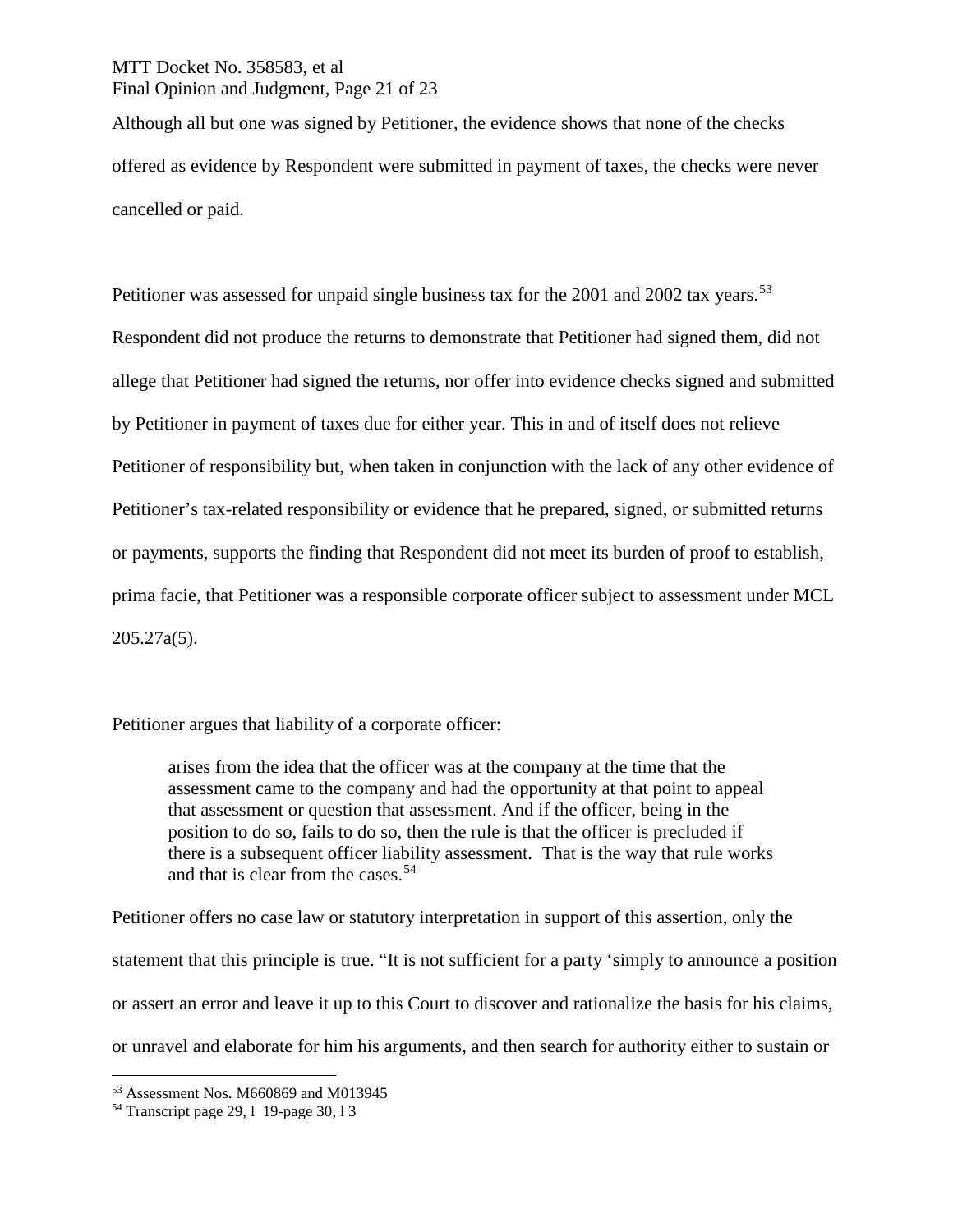# MTT Docket No. 358583, et al Final Opinion and Judgment, Page 21 of 23

Although all but one was signed by Petitioner, the evidence shows that none of the checks offered as evidence by Respondent were submitted in payment of taxes, the checks were never cancelled or paid.

Petitioner was assessed for unpaid single business tax for the 2001 and 2002 tax years.<sup>[53](#page-20-0)</sup> Respondent did not produce the returns to demonstrate that Petitioner had signed them, did not allege that Petitioner had signed the returns, nor offer into evidence checks signed and submitted by Petitioner in payment of taxes due for either year. This in and of itself does not relieve Petitioner of responsibility but, when taken in conjunction with the lack of any other evidence of Petitioner's tax-related responsibility or evidence that he prepared, signed, or submitted returns or payments, supports the finding that Respondent did not meet its burden of proof to establish, prima facie, that Petitioner was a responsible corporate officer subject to assessment under MCL 205.27a(5).

Petitioner argues that liability of a corporate officer:

arises from the idea that the officer was at the company at the time that the assessment came to the company and had the opportunity at that point to appeal that assessment or question that assessment. And if the officer, being in the position to do so, fails to do so, then the rule is that the officer is precluded if there is a subsequent officer liability assessment. That is the way that rule works and that is clear from the cases. [54](#page-20-1)

Petitioner offers no case law or statutory interpretation in support of this assertion, only the statement that this principle is true. "It is not sufficient for a party 'simply to announce a position or assert an error and leave it up to this Court to discover and rationalize the basis for his claims, or unravel and elaborate for him his arguments, and then search for authority either to sustain or

<span id="page-20-0"></span> <sup>53</sup> Assessment Nos. M660869 and M013945

<span id="page-20-1"></span><sup>54</sup> Transcript page 29, l 19-page 30, l 3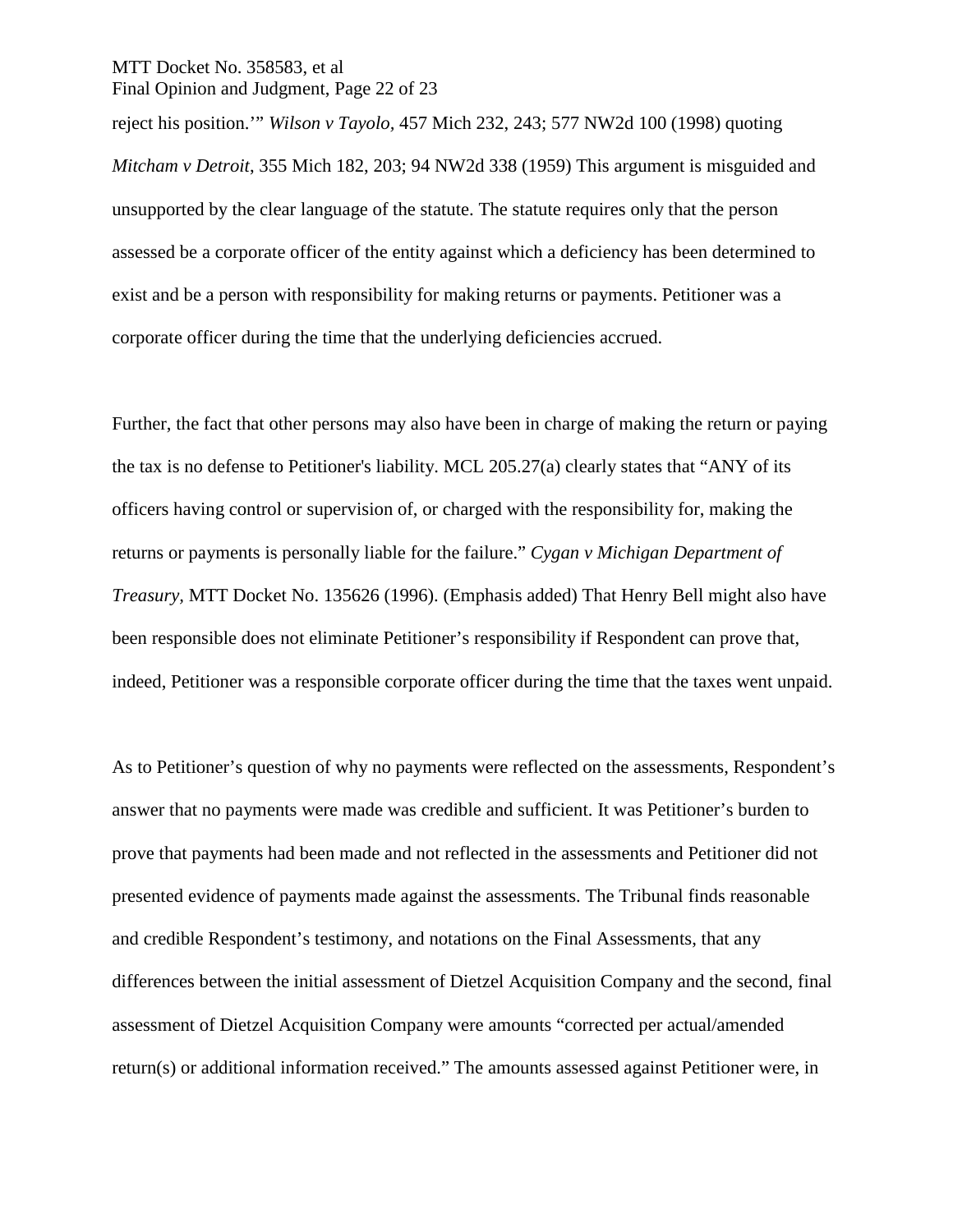#### MTT Docket No. 358583, et al Final Opinion and Judgment, Page 22 of 23

reject his position.'" *Wilson v Tayolo,* 457 Mich 232, 243; 577 NW2d 100 (1998) quoting *Mitcham v Detroit*, 355 Mich 182, 203; 94 NW2d 338 (1959) This argument is misguided and unsupported by the clear language of the statute. The statute requires only that the person assessed be a corporate officer of the entity against which a deficiency has been determined to exist and be a person with responsibility for making returns or payments. Petitioner was a corporate officer during the time that the underlying deficiencies accrued.

Further, the fact that other persons may also have been in charge of making the return or paying the tax is no defense to Petitioner's liability. MCL 205.27(a) clearly states that "ANY of its officers having control or supervision of, or charged with the responsibility for, making the returns or payments is personally liable for the failure." *Cygan v Michigan Department of Treasury,* MTT Docket No. 135626 (1996). (Emphasis added) That Henry Bell might also have been responsible does not eliminate Petitioner's responsibility if Respondent can prove that, indeed, Petitioner was a responsible corporate officer during the time that the taxes went unpaid.

As to Petitioner's question of why no payments were reflected on the assessments, Respondent's answer that no payments were made was credible and sufficient. It was Petitioner's burden to prove that payments had been made and not reflected in the assessments and Petitioner did not presented evidence of payments made against the assessments. The Tribunal finds reasonable and credible Respondent's testimony, and notations on the Final Assessments, that any differences between the initial assessment of Dietzel Acquisition Company and the second, final assessment of Dietzel Acquisition Company were amounts "corrected per actual/amended return(s) or additional information received." The amounts assessed against Petitioner were, in